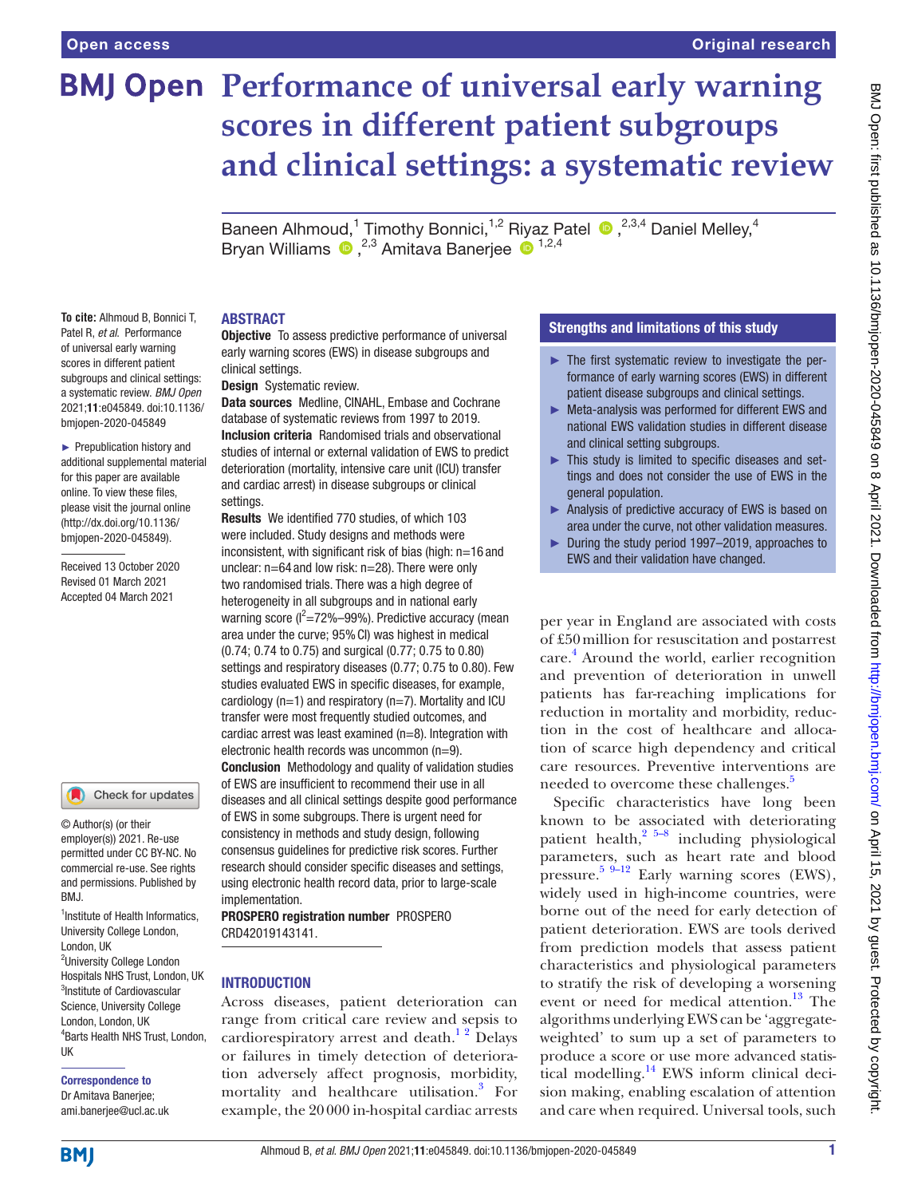**To cite:** Alhmoud B, Bonnici T, Patel R, *et al*. Performance of universal early warning scores in different patient subgroups and clinical settings: a systematic review. *BMJ Open* 2021;11:e045849. doi:10.1136/ bmjopen-2020-045849 ► Prepublication history and additional supplemental material for this paper are available online. To view these files, please visit the journal online [\(http://dx.doi.org/10.1136/](http://dx.doi.org/10.1136/bmjopen-2020-045849) [bmjopen-2020-045849](http://dx.doi.org/10.1136/bmjopen-2020-045849)). Received 13 October 2020 Revised 01 March 2021 Accepted 04 March 2021

# **BMJ Open Performance of universal early warning scores in different patient subgroups and clinical settings: a systematic review**

Baneen Alhmoud,<sup>1</sup> Timothy Bonnici,<sup>1,2</sup> Riyaz Patel <sup>®</sup>,<sup>2,3,4</sup> Daniel Melley,<sup>4</sup> BryanWilliams  $\bullet$ , <sup>2,3</sup> Amitava Banerjee  $\bullet$ <sup>1,2,4</sup>

# ABSTRACT

**Objective** To assess predictive performance of universal early warning scores (EWS) in disease subgroups and clinical settings.

Design Systematic review.

Data sources Medline, CINAHL, Embase and Cochrane database of systematic reviews from 1997 to 2019. Inclusion criteria Randomised trials and observational studies of internal or external validation of EWS to predict deterioration (mortality, intensive care unit (ICU) transfer and cardiac arrest) in disease subgroups or clinical settings.

Results We identified 770 studies, of which 103 were included. Study designs and methods were inconsistent, with significant risk of bias (high: n=16 and unclear: n=64 and low risk: n=28). There were only two randomised trials. There was a high degree of heterogeneity in all subgroups and in national early warning score ( $l^2$ =72%–99%). Predictive accuracy (mean area under the curve; 95%CI) was highest in medical (0.74; 0.74 to 0.75) and surgical (0.77; 0.75 to 0.80) settings and respiratory diseases (0.77; 0.75 to 0.80). Few studies evaluated EWS in specific diseases, for example, cardiology ( $n=1$ ) and respiratory ( $n=7$ ). Mortality and ICU transfer were most frequently studied outcomes, and cardiac arrest was least examined (n=8). Integration with electronic health records was uncommon (n=9). Conclusion Methodology and quality of validation studies of EWS are insufficient to recommend their use in all diseases and all clinical settings despite good performance of EWS in some subgroups. There is urgent need for consistency in methods and study design, following consensus guidelines for predictive risk scores. Further research should consider specific diseases and settings, using electronic health record data, prior to large-scale implementation.

PROSPERO registration number PROSPERO CRD42019143141.

# **INTRODUCTION**

Across diseases, patient deterioration can range from critical care review and sepsis to cardiorespiratory arrest and death.<sup>12</sup> Delays or failures in timely detection of deterioration adversely affect prognosis, morbidity, mortality and healthcare utilisation[.3](#page-14-1) For example, the 20000 in-hospital cardiac arrests

# Strengths and limitations of this study

- $\blacktriangleright$  The first systematic review to investigate the performance of early warning scores (EWS) in different patient disease subgroups and clinical settings.
- ► Meta-analysis was performed for different EWS and national EWS validation studies in different disease and clinical setting subgroups.
- ► This study is limited to specific diseases and settings and does not consider the use of EWS in the general population.
- ► Analysis of predictive accuracy of EWS is based on area under the curve, not other validation measures.
- ► During the study period 1997–2019, approaches to EWS and their validation have changed.

per year in England are associated with costs of £50million for resuscitation and postarrest care.<sup>4</sup> Around the world, earlier recognition and prevention of deterioration in unwell patients has far-reaching implications for reduction in mortality and morbidity, reduction in the cost of healthcare and allocation of scarce high dependency and critical care resources. Preventive interventions are needed to overcome these challenges.<sup>[5](#page-14-3)</sup>

Specific characteristics have long been known to be associated with deteriorating patient health, $2^{5-8}$  including physiological parameters, such as heart rate and blood pressure.<sup>[5 9–12](#page-14-3)</sup> Early warning scores (EWS), widely used in high-income countries, were borne out of the need for early detection of patient deterioration. EWS are tools derived from prediction models that assess patient characteristics and physiological parameters to stratify the risk of developing a worsening event or need for medical attention.<sup>13</sup> The algorithms underlying EWS can be 'aggregateweighted' to sum up a set of parameters to produce a score or use more advanced statistical modelling. $^{14}$  EWS inform clinical decision making, enabling escalation of attention and care when required. Universal tools, such

commercial re-use. See rights and permissions. Published by BMJ.

Check for updates

© Author(s) (or their employer(s)) 2021. Re-use permitted under CC BY-NC. No

<sup>1</sup>Institute of Health Informatics, University College London, London, UK <sup>2</sup>University College London Hospitals NHS Trust, London, UK 3 Institute of Cardiovascular Science, University College London, London, UK 4 Barts Health NHS Trust, London, UK

Correspondence to Dr Amitava Banerjee; ami.banerjee@ucl.ac.uk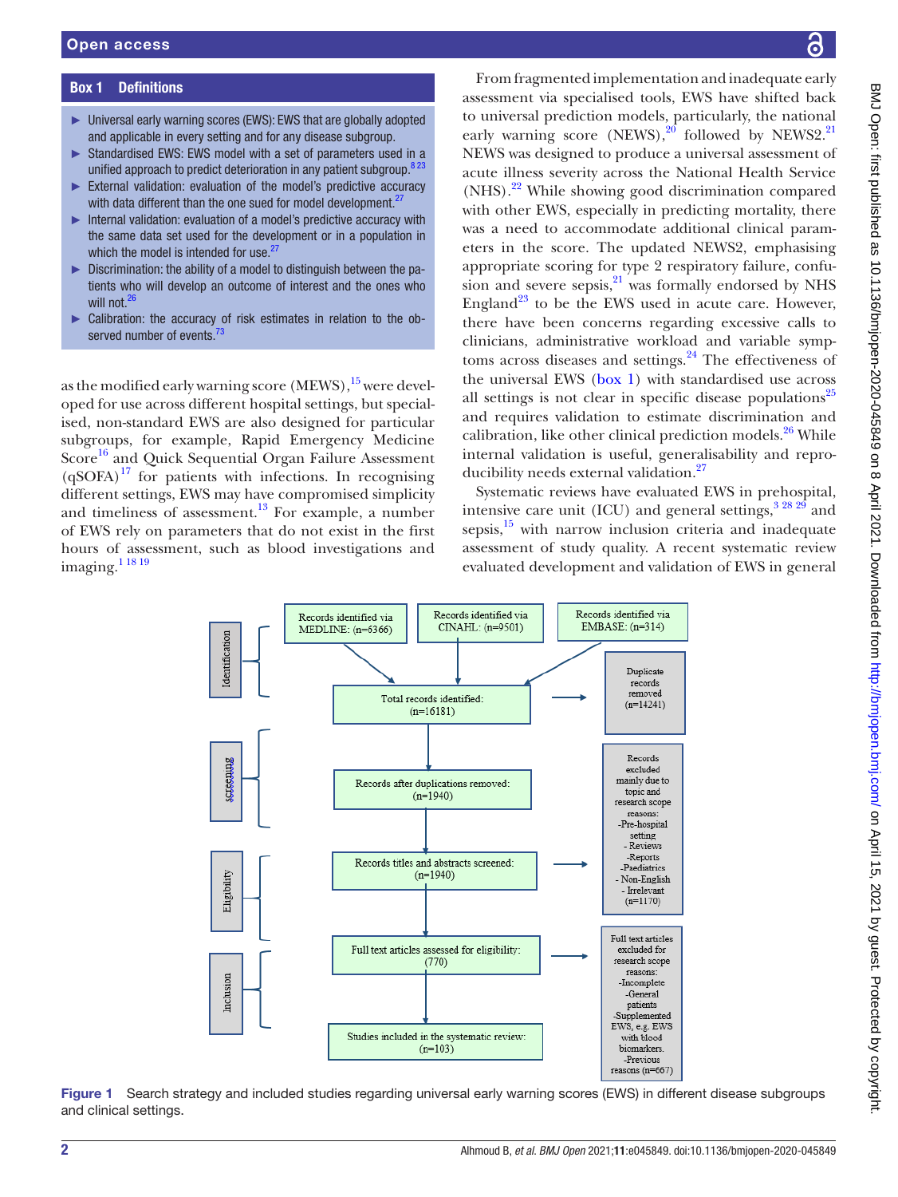# Box 1 Definitions

- <span id="page-1-0"></span>► Universal early warning scores (EWS): EWS that are globally adopted and applicable in every setting and for any disease subgroup.
- ► Standardised EWS: EWS model with a set of parameters used in a unified approach to predict deterioration in any patient subgroup.<sup>823</sup>
- ► External validation: evaluation of the model's predictive accuracy with data different than the one sued for model development.<sup>27</sup>
- ► Internal validation: evaluation of a model's predictive accuracy with the same data set used for the development or in a population in which the model is intended for use.<sup>2</sup>
- ► Discrimination: the ability of a model to distinguish between the patients who will develop an outcome of interest and the ones who will not.<sup>[26](#page-14-16)</sup>
- ► Calibration: the accuracy of risk estimates in relation to the observed number of events.

as the modified early warning score (MEWS), <sup>15</sup> were developed for use across different hospital settings, but specialised, non-standard EWS are also designed for particular subgroups, for example, Rapid Emergency Medicine Score<sup>16</sup> and Quick Sequential Organ Failure Assessment  $(qSOFA)^{17}$  for patients with infections. In recognising different settings, EWS may have compromised simplicity and timeliness of assessment. $13$  For example, a number of EWS rely on parameters that do not exist in the first hours of assessment, such as blood investigations and imaging[.1 18 19](#page-14-0)

From fragmented implementation and inadequate early assessment via specialised tools, EWS have shifted back to universal prediction models, particularly, the national early warning score (NEWS),<sup>20</sup> followed by NEWS2.<sup>[21](#page-14-11)</sup> NEWS was designed to produce a universal assessment of acute illness severity across the National Health Service  $(NHS)$ <sup>[22](#page-14-12)</sup> While showing good discrimination compared with other EWS, especially in predicting mortality, there was a need to accommodate additional clinical parameters in the score. The updated NEWS2, emphasising appropriate scoring for type 2 respiratory failure, confusion and severe sepsis, $21$  was formally endorsed by NHS England<sup>23</sup> to be the EWS used in acute care. However, there have been concerns regarding excessive calls to clinicians, administrative workload and variable symp-toms across diseases and settings.<sup>[24](#page-14-14)</sup> The effectiveness of the universal EWS [\(box](#page-1-0) 1) with standardised use across all settings is not clear in specific disease populations $^{25}$  $^{25}$  $^{25}$ and requires validation to estimate discrimination and calibration, like other clinical prediction models.<sup>26</sup> While internal validation is useful, generalisability and reproducibility needs external validation.[27](#page-14-17)

Systematic reviews have evaluated EWS in prehospital, intensive care unit (ICU) and general settings,  $3^{28}$   $2^{9}$  and sepsis, $15$  with narrow inclusion criteria and inadequate assessment of study quality. A recent systematic review evaluated development and validation of EWS in general



<span id="page-1-1"></span>Figure 1 Search strategy and included studies regarding universal early warning scores (EWS) in different disease subgroups and clinical settings.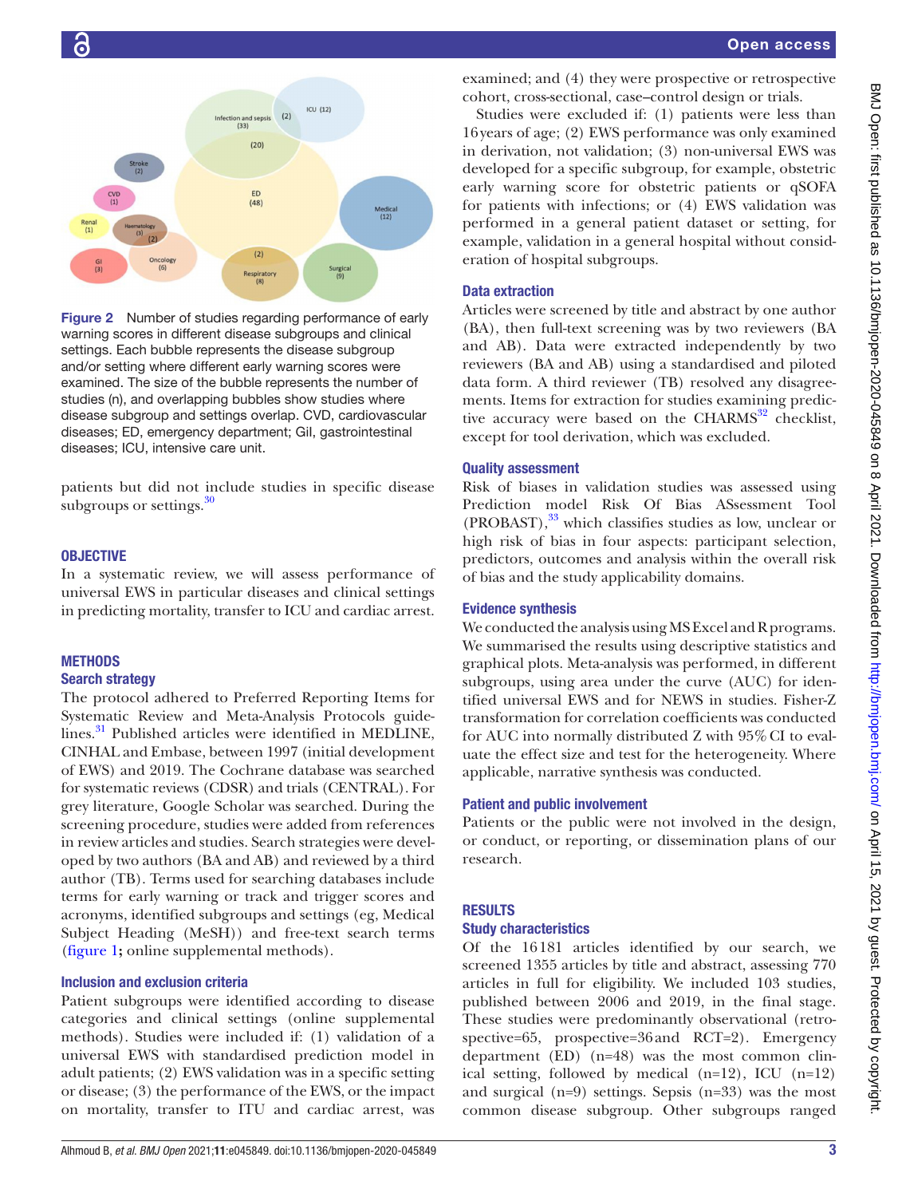

Figure 2 Number of studies regarding performance of early warning scores in different disease subgroups and clinical settings. Each bubble represents the disease subgroup and/or setting where different early warning scores were examined. The size of the bubble represents the number of studies (n), and overlapping bubbles show studies where disease subgroup and settings overlap. CVD, cardiovascular diseases; ED, emergency department; GiI, gastrointestinal diseases; ICU, intensive care unit.

patients but did not include studies in specific disease subgroups or settings. $30$ 

# **OBJECTIVE**

In a systematic review, we will assess performance of universal EWS in particular diseases and clinical settings in predicting mortality, transfer to ICU and cardiac arrest.

# **METHODS**

# Search strategy

The protocol adhered to Preferred Reporting Items for Systematic Review and Meta-Analysis Protocols guidelines.<sup>31</sup> Published articles were identified in MEDLINE, CINHAL and Embase, between 1997 (initial development of EWS) and 2019. The Cochrane database was searched for systematic reviews (CDSR) and trials (CENTRAL). For grey literature, Google Scholar was searched. During the screening procedure, studies were added from references in review articles and studies. Search strategies were developed by two authors (BA and AB) and reviewed by a third author (TB). Terms used for searching databases include terms for early warning or track and trigger scores and acronyms, identified subgroups and settings (eg, Medical Subject Heading (MeSH)) and free-text search terms ([figure](#page-1-1) 1**;** [online supplemental methods](https://dx.doi.org/10.1136/bmjopen-2020-045849)).

## Inclusion and exclusion criteria

Patient subgroups were identified according to disease categories and clinical settings ([online supplemental](https://dx.doi.org/10.1136/bmjopen-2020-045849) [methods](https://dx.doi.org/10.1136/bmjopen-2020-045849)). Studies were included if: (1) validation of a universal EWS with standardised prediction model in adult patients; (2) EWS validation was in a specific setting or disease; (3) the performance of the EWS, or the impact on mortality, transfer to ITU and cardiac arrest, was

examined; and (4) they were prospective or retrospective cohort, cross-sectional, case–control design or trials.

Studies were excluded if: (1) patients were less than 16years of age; (2) EWS performance was only examined in derivation, not validation; (3) non-universal EWS was developed for a specific subgroup, for example, obstetric early warning score for obstetric patients or qSOFA for patients with infections; or (4) EWS validation was performed in a general patient dataset or setting, for example, validation in a general hospital without consideration of hospital subgroups.

# Data extraction

Articles were screened by title and abstract by one author (BA), then full-text screening was by two reviewers (BA and AB). Data were extracted independently by two reviewers (BA and AB) using a standardised and piloted data form. A third reviewer (TB) resolved any disagreements. Items for extraction for studies examining predictive accuracy were based on the  $CHARMS<sup>32</sup>$  $CHARMS<sup>32</sup>$  $CHARMS<sup>32</sup>$  checklist, except for tool derivation, which was excluded.

## Quality assessment

Risk of biases in validation studies was assessed using Prediction model Risk Of Bias ASsessment Tool  $(PROBAST)$ ,  $33$  which classifies studies as low, unclear or high risk of bias in four aspects: participant selection, predictors, outcomes and analysis within the overall risk of bias and the study applicability domains.

# Evidence synthesis

We conducted the analysis using MS Excel and R programs. We summarised the results using descriptive statistics and graphical plots. Meta-analysis was performed, in different subgroups, using area under the curve (AUC) for identified universal EWS and for NEWS in studies. Fisher-Z transformation for correlation coefficients was conducted for AUC into normally distributed Z with 95%CI to evaluate the effect size and test for the heterogeneity. Where applicable, narrative synthesis was conducted.

## Patient and public involvement

Patients or the public were not involved in the design, or conduct, or reporting, or dissemination plans of our research.

# **RESULTS**

## Study characteristics

Of the 16181 articles identified by our search, we screened 1355 articles by title and abstract, assessing 770 articles in full for eligibility. We included 103 studies, published between 2006 and 2019, in the final stage. These studies were predominantly observational (retrospective=65, prospective=36and RCT=2). Emergency department (ED) (n=48) was the most common clinical setting, followed by medical  $(n=12)$ , ICU  $(n=12)$ and surgical (n=9) settings. Sepsis (n=33) was the most common disease subgroup. Other subgroups ranged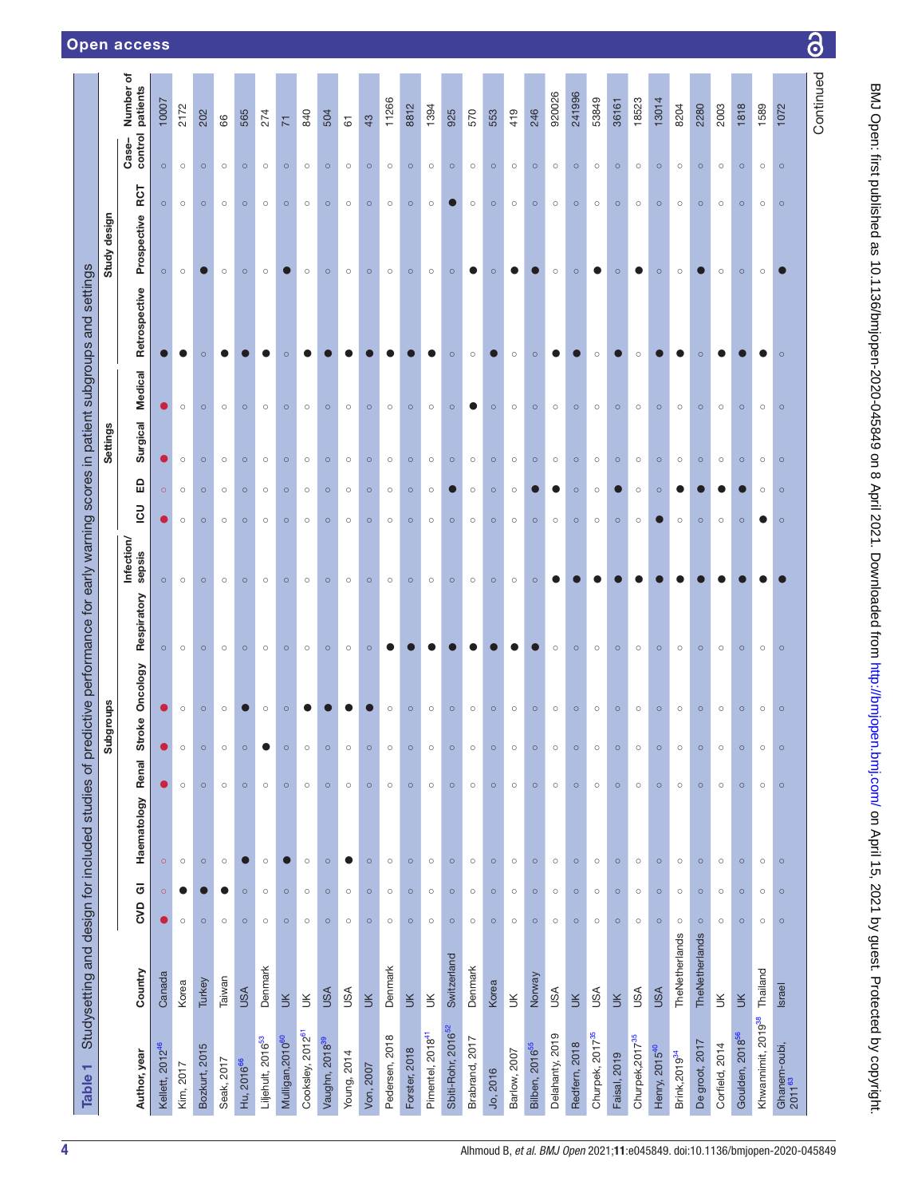3

<span id="page-3-0"></span>

| Table <sub>1</sub>                 | Studysetting and design for included studies of predictive performance for early warning scores in patient subgroups and settings |            |         |             |         |                       |                |             |                      |         |                      |                 |         |               |              |         |                           |                          |
|------------------------------------|-----------------------------------------------------------------------------------------------------------------------------------|------------|---------|-------------|---------|-----------------------|----------------|-------------|----------------------|---------|----------------------|-----------------|---------|---------------|--------------|---------|---------------------------|--------------------------|
|                                    |                                                                                                                                   |            |         |             |         | <b>sdno.ngr</b><br>မိ |                |             |                      |         |                      | <b>Settings</b> |         |               | Study design |         |                           |                          |
| Author, year                       | Country                                                                                                                           | <b>CVD</b> | ō       | Haematology | Renal   | Ù)                    | troke Oncology | Respiratory | Infection/<br>sepsis | 3       | £                    | Surgical        | Medical | Retrospective | Prospective  | RCT     | control patients<br>Case- | Number of                |
| Kellett, 2012 <sup>46</sup>        | Canada                                                                                                                            | O          | $\circ$ | $\circ$     | O       |                       | ۰              | $\circ$     | $\circ$              |         | O<br>$\circ$         |                 |         |               | $\circ$      | $\circ$ | $\circ$                   | 10007                    |
| Kim, 2017                          | Korea                                                                                                                             | $\circ$    |         | $\circ$     | $\circ$ | $\circ$               | $\circ$        | $\circ$     | $\circ$              | $\circ$ | $\circ$<br>$\circ$   |                 | $\circ$ |               | $\circ$      | $\circ$ | $\circ$                   | 2172                     |
| Bozkurt, 2015                      | Turkey                                                                                                                            | $\circ$    |         | $\circ$     | $\circ$ | $\circ$               | $\circ$        | $\circ$     | $\circ$              | $\circ$ | $\circ$<br>$\circ$   |                 | $\circ$ | $\circ$       |              | $\circ$ | $\circ$                   | 202                      |
| Seak, 2017                         | Taiwan                                                                                                                            | $\circ$    | 0       | $\circ$     | $\circ$ | $\circ$               | $\circ$        | $\circ$     | $\circ$              | $\circ$ | $\circ$<br>$\circ$   |                 | $\circ$ |               | $\circ$      | $\circ$ | $\circ$                   | 66                       |
| Hu, 2016 <sup>66</sup>             | <b>ASU</b>                                                                                                                        | $\circ$    | $\circ$ |             | $\circ$ | $\circ$               |                | $\circ$     | $\circ$              | $\circ$ | $\circ$<br>$\circ$   |                 | $\circ$ |               | $\circ$      | $\circ$ | $\circ$                   | 565                      |
| Liljehult, 2016 <sup>53</sup>      | Denmark                                                                                                                           | $\circ$    | $\circ$ | $\circ$     | $\circ$ |                       | $\circ$        | $\circ$     | $\circ$              | $\circ$ | $\circ$<br>$\circ$   |                 | $\circ$ |               | $\circ$      | $\circ$ | $\circ$                   | 274                      |
| Mulligan, 2010 <sup>60</sup>       | $\leq$                                                                                                                            | $\circ$    | $\circ$ |             | $\circ$ | $\circ$               | $\circ$        | $\circ$     | $\circ$              | $\circ$ | $\circ$<br>$\circ$   |                 | $\circ$ | $\circ$       |              | $\circ$ | $\circ$                   | $\overline{\mathcal{N}}$ |
| Cooksley, 2012 <sup>61</sup>       | $\leq$                                                                                                                            | $\circ$    | $\circ$ | $\circ$     | $\circ$ | $\circ$               |                | $\circ$     | $\circ$              | $\circ$ | $\circ$<br>$\circ$   |                 | $\circ$ |               | $\circ$      | $\circ$ | $\circ$                   | 840                      |
| Vaughn, 2018 <sup>39</sup>         | <b>ASU</b>                                                                                                                        | $\circ$    | $\circ$ | $\circ$     | $\circ$ | $\circ$               |                | $\circ$     | $\circ$              | $\circ$ | $\circ$<br>$\circ$   |                 | $\circ$ |               | $\circ$      | $\circ$ | $\circ$                   | 504                      |
| Young, 2014                        | USA                                                                                                                               | $\circ$    | $\circ$ | ●           | $\circ$ | $\circ$               |                | $\circ$     | $\circ$              | $\circ$ | $\circ$<br>$\circ$   |                 | $\circ$ |               | $\circ$      | $\circ$ | $\circ$                   | $\overline{6}$           |
| Von, 2007                          | $\leq$                                                                                                                            | $\circ$    | $\circ$ | $\circ$     | $\circ$ | $\circ$               |                | $\circ$     | $\circ$              | $\circ$ | $\circ$<br>$\circ$   |                 | $\circ$ |               | $\circ$      | $\circ$ | $\circ$                   | 43                       |
| Pedersen, 2018                     | Denmark                                                                                                                           | $\circ$    | $\circ$ | $\circ$     | $\circ$ | $\circ$               | $\circ$        |             | $\circ$              | $\circ$ | $\circ$<br>$\circ$   |                 | $\circ$ |               | $\circ$      | $\circ$ | $\circ$                   | 11266                    |
| Forster, 2018                      | $\leq$                                                                                                                            | $\circ$    | $\circ$ | $\circ$     | $\circ$ | $\circ$               | $\circ$        |             | $\circ$              | $\circ$ | $\circ$<br>$\circ$   |                 | $\circ$ |               | $\circ$      | $\circ$ | $\circ$                   | 8812                     |
| Pimentel, 2018 <sup>41</sup>       | $\leq$                                                                                                                            | $\circ$    | $\circ$ | $\circ$     | $\circ$ | $\circ$               | $\circ$        |             | $\circ$              | $\circ$ | $\circ$<br>$\circ$   |                 | $\circ$ |               | $\circ$      | $\circ$ | $\circ$                   | 1394                     |
| Sbiti-Rohr, 2016 <sup>52</sup>     | Switzerland                                                                                                                       | $\circ$    | $\circ$ | $\circ$     | $\circ$ | $\circ$               | $\circ$        |             | $\circ$              | $\circ$ | $\circ$              |                 | $\circ$ | $\circ$       | $\circ$      |         | $\circ$                   | 925                      |
| Brabrand, 2017                     | Denmark                                                                                                                           | $\circ$    | $\circ$ | $\circ$     | $\circ$ | $\circ$               | $\circ$        |             | $\circ$              | $\circ$ | $\circ$<br>$\circ$   |                 | o       | $\circ$       | o            | $\circ$ | $\circ$                   | 570                      |
| Jo, 2016                           | Korea                                                                                                                             | $\circ$    | $\circ$ | $\circ$     | $\circ$ | $\circ$               | $\circ$        |             | $\circ$              | $\circ$ | $\circ$<br>$\circ$   |                 | $\circ$ |               | $\circ$      | $\circ$ | $\circ$                   | 553                      |
| Barlow, 2007                       | $\preceq$                                                                                                                         | $\circ$    | $\circ$ | $\circ$     | $\circ$ | $\circ$               | $\circ$        |             | $\circ$              | $\circ$ | $\circ$<br>$\circ$   |                 | $\circ$ | $\circ$       |              | $\circ$ | $\circ$                   | 419                      |
| Bilben, 2016 <sup>55</sup>         | Norway                                                                                                                            | $\circ$    | $\circ$ | $\circ$     | $\circ$ | $\circ$               | $\circ$        |             | $\circ$              | $\circ$ | $\circ$              |                 | $\circ$ | $\circ$       |              | $\circ$ | $\circ$                   | 246                      |
| Delahanty, 2019                    | <b>ASU</b>                                                                                                                        | $\circ$    | $\circ$ | $\circ$     | $\circ$ | $\circ$               | $\circ$        | $\circ$     |                      | $\circ$ | $\circ$<br>$\bullet$ |                 | $\circ$ |               | $\circ$      | $\circ$ | $\circ$                   | 920026                   |
| Redfern, 2018                      | $\gtrsim$                                                                                                                         | $\circ$    | $\circ$ | $\circ$     | $\circ$ | $\circ$               | $\circ$        | $\circ$     |                      | $\circ$ | $\circ$<br>$\circ$   |                 | $\circ$ |               | $\circ$      | $\circ$ | $\circ$                   | 241996                   |
| Churpek, 2017 <sup>35</sup>        | <b>USA</b>                                                                                                                        | $\circ$    | $\circ$ | $\circ$     | $\circ$ | $\circ$               | $\circ$        | $\circ$     |                      | $\circ$ | $\circ$<br>$\circ$   |                 | $\circ$ | $\circ$       |              | $\circ$ | $\circ$                   | 53849                    |
| Faisal, 2019                       | $\leq$                                                                                                                            | $\circ$    | $\circ$ | $\circ$     | $\circ$ | $\circ$               | $\circ$        | $\circ$     |                      | $\circ$ | $\circ$<br>●         |                 | $\circ$ |               | $\circ$      | $\circ$ | $\circ$                   | 36161                    |
| Churpek, 2017 <sup>35</sup>        | USA                                                                                                                               | $\circ$    | $\circ$ | $\circ$     | $\circ$ | $\circ$               | $\circ$        | $\circ$     |                      | $\circ$ | $\circ$<br>$\circ$   |                 | $\circ$ | $\circ$       |              | $\circ$ | $\circ$                   | 18523                    |
| Henry, 2015 <sup>40</sup>          | <b>ASU</b>                                                                                                                        | $\circ$    | $\circ$ | $\circ$     | $\circ$ | $\circ$               | $\circ$        | $\circ$     |                      |         | $\circ$<br>$\circ$   |                 | $\circ$ |               | $\circ$      | $\circ$ | $\circ$                   | 13014                    |
| Brink, 2019 <sup>34</sup>          | TheNetherlands                                                                                                                    | $\circ$    | $\circ$ | $\circ$     | $\circ$ | $\circ$               | $\circ$        | $\circ$     |                      | $\circ$ | $\circ$<br>0         |                 | $\circ$ | 0             | $\circ$      | $\circ$ | $\circ$                   | 8204                     |
| De groot, 2017                     | TheNetherlands                                                                                                                    | $\circ$    | $\circ$ | $\circ$     | $\circ$ | $\circ$               | $\circ$        | $\circ$     |                      | $\circ$ | $\circ$              |                 | $\circ$ | $\circ$       |              | $\circ$ | $\circ$                   | 2280                     |
| Corfield, 2014                     | $\leq$                                                                                                                            | $\circ$    | $\circ$ | $\circ$     | $\circ$ | $\circ$               | $\circ$        | $\circ$     |                      | $\circ$ | $\circ$              |                 | $\circ$ |               | $\circ$      | $\circ$ | $\circ$                   | 2003                     |
| Goulden, 2018 <sup>56</sup>        | $\leq$                                                                                                                            | $\circ$    | $\circ$ | $\circ$     | $\circ$ | $\circ$               | $\circ$        | $\circ$     |                      | $\circ$ | $\circ$              |                 | $\circ$ |               | $\circ$      | $\circ$ | $\circ$                   | 1818                     |
| Khwannimit, 2019 <sup>38</sup>     | Thailand                                                                                                                          | $\circ$    | $\circ$ | $\circ$     | $\circ$ | $\circ$               | $\circ$        | $\circ$     |                      | O       | $\circ$<br>$\circ$   |                 | $\circ$ |               | $\circ$      | $\circ$ | $\circ$                   | 1589                     |
| Ghanem-oubi,<br>2011 <sup>63</sup> | <b>Israel</b>                                                                                                                     | $\circ$    | $\circ$ | $\circ$     | $\circ$ | $\circ$               | $\circ$        | $\circ$     |                      | $\circ$ | $\circ$<br>$\circ$   |                 | $\circ$ | $\circ$       |              | $\circ$ | $\circ$                   | 1072                     |
|                                    |                                                                                                                                   |            |         |             |         |                       |                |             |                      |         |                      |                 |         |               |              |         |                           | Continued                |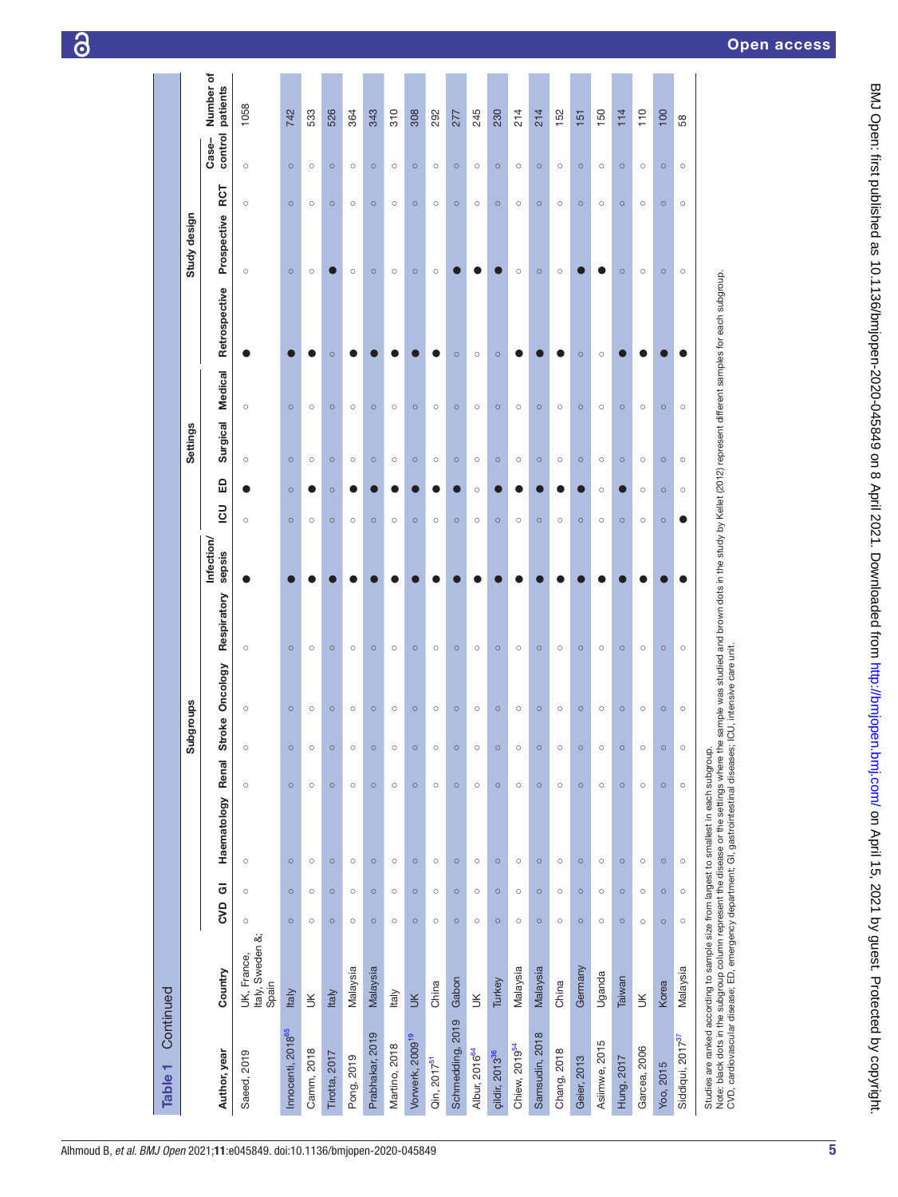| Continued<br>Table 1                                                                                                                                                                                                                                                                                                       |                                          |         |                   |                    |         |                       |                 |             |                      |                |         |                 |                |               |                    |         |                                           |
|----------------------------------------------------------------------------------------------------------------------------------------------------------------------------------------------------------------------------------------------------------------------------------------------------------------------------|------------------------------------------|---------|-------------------|--------------------|---------|-----------------------|-----------------|-------------|----------------------|----------------|---------|-----------------|----------------|---------------|--------------------|---------|-------------------------------------------|
|                                                                                                                                                                                                                                                                                                                            |                                          |         |                   |                    |         | Subgroups             |                 |             |                      |                |         | Settings        |                |               | Study design       |         |                                           |
| Author, year                                                                                                                                                                                                                                                                                                               | Country                                  |         | CVD <sub>GI</sub> | Haematology Renal  |         |                       | Stroke Oncology | Respiratory | Infection/<br>sepsis | $\overline{2}$ | 읎       | <b>Surgical</b> | <b>Medical</b> | Retrospective | Prospective RCT    |         | Number of<br>patients<br>control<br>Case- |
| Saeed, 2019                                                                                                                                                                                                                                                                                                                | Italy, Sweden &;<br>UK, France,<br>Spain | $\circ$ | $\circ$           | $\circ$<br>$\circ$ |         | $\circ$               |                 | $\circ$     |                      | $\circ$        |         | $\circ$         | $\circ$        |               | $\circ$<br>$\circ$ | $\circ$ | 1058                                      |
| Innocenti, 2018 <sup>65</sup>                                                                                                                                                                                                                                                                                              | <b>Italy</b>                             | $\circ$ | $\circ$           | $\circ$<br>$\circ$ |         | $\circ$<br>$\Omega$   |                 | $\circ$     |                      | $\circ$        | $\circ$ | $\circ$         | $\circ$        |               | $\circ$<br>$\circ$ | $\circ$ | 742                                       |
| Camm, 2018                                                                                                                                                                                                                                                                                                                 | $\leq$                                   | $\circ$ | $\circ$           | $\circ$<br>$\circ$ |         | $\circ$               |                 | $\circ$     |                      | $\circ$        |         | $\circ$         | $\circ$        |               | $\circ$<br>$\circ$ | $\circ$ | 533                                       |
| Tirotta, 2017                                                                                                                                                                                                                                                                                                              | <b>Italy</b>                             | $\circ$ | $\circ$           | $\circ$<br>$\circ$ |         | $\circ$               |                 | $\circ$     |                      | $\circ$        | $\circ$ | $\circ$         | $\circ$        | $\circ$       | $\circ$            | $\circ$ | 526                                       |
| Pong, 2019                                                                                                                                                                                                                                                                                                                 | Malaysia                                 | $\circ$ | $\circ$           | $\circ$<br>$\circ$ |         | $\circ$               |                 | $\circ$     |                      | $\circ$        |         | $\circ$         | $\circ$        |               | $\circ$<br>$\circ$ | $\circ$ | 364                                       |
| Prabhakar, 2019                                                                                                                                                                                                                                                                                                            | Malaysia                                 | $\circ$ | $\circ$           | $\circ$<br>$\circ$ |         | $\circ$               |                 | $\circ$     |                      | $\circ$        |         | $\circ$         | $\circ$        |               | $\circ$<br>$\circ$ | $\circ$ | 343                                       |
| Martino, 2018                                                                                                                                                                                                                                                                                                              | Italy                                    | $\circ$ | $\circ$           | $\circ$<br>$\circ$ |         | $\circ$<br>$\bigcirc$ |                 | $\circ$     |                      | $\circ$        |         | $\circ$         | $\circ$        |               | $\circ$<br>$\circ$ | $\circ$ | 310                                       |
| Vorwerk, 2009 <sup>19</sup>                                                                                                                                                                                                                                                                                                | $\leq$                                   | $\circ$ | $\circ$           | $\circ$<br>$\circ$ |         | $\circ$<br>$\circ$    |                 | $\circ$     |                      | $\circ$        |         | $\circ$         | $\circ$        |               | $\circ$<br>$\circ$ | $\circ$ | 308                                       |
| Qin, 2017 <sup>51</sup>                                                                                                                                                                                                                                                                                                    | China                                    | $\circ$ | $\circ$           | $\circ$<br>$\circ$ |         | $\circ$               |                 | $\circ$     |                      | $\circ$        |         | $\circ$         | $\circ$        |               | $\circ$<br>$\circ$ | $\circ$ | 292                                       |
| Schmedding, 2019                                                                                                                                                                                                                                                                                                           | Gabon                                    | $\circ$ | $\circ$           | $\circ$<br>$\circ$ |         | $\circ$<br>$\circ$    |                 | $\circ$     |                      | $\circ$        |         | $\circ$         | $\circ$        | $\circ$       | $\circ$            | $\circ$ | 277                                       |
| Albur, 2016 <sup>64</sup>                                                                                                                                                                                                                                                                                                  | $\leq$                                   | $\circ$ | $\circ$           | $\circ$<br>$\circ$ |         | $\circ$               |                 | $\circ$     |                      | $\circ$        | $\circ$ | $\circ$         | $\circ$        | $\circ$       | $\circ$            | $\circ$ | 245                                       |
| çildir, 2013 <sup>36</sup>                                                                                                                                                                                                                                                                                                 | Turkey                                   | $\circ$ | $\circ$           | $\circ$            | $\circ$ | $\circ$               |                 | $\circ$     |                      | $\circ$        |         | $\circ$         | $\circ$        | $\circ$       | $\circ$            | $\circ$ | 230                                       |
| Chiew, 2019 <sup>54</sup>                                                                                                                                                                                                                                                                                                  | Malaysia                                 | $\circ$ | $\circ$           | $\circ$<br>$\circ$ |         | $\circ$<br>$\bigcirc$ |                 | $\circ$     |                      | $\circ$        |         | $\circ$         | $\circ$        |               | $\circ$<br>$\circ$ | $\circ$ | 214                                       |
| Samsudin, 2018                                                                                                                                                                                                                                                                                                             | Malaysia                                 | $\circ$ | $\circ$           | $\circ$<br>$\circ$ |         | $\circ$<br>$\circ$    |                 | $\circ$     |                      | $\circ$        |         | $\circ$         | $\circ$        |               | $\circ$<br>$\circ$ | $\circ$ | 214                                       |
| Chang, 2018                                                                                                                                                                                                                                                                                                                | China                                    | $\circ$ | $\circ$           | $\circ$<br>$\circ$ |         | $\circ$               |                 | $\circ$     |                      | $\circ$        |         | $\circ$         | $\circ$        |               | $\circ$<br>$\circ$ | $\circ$ | 152                                       |
| Geier, 2013                                                                                                                                                                                                                                                                                                                | Germany                                  | $\circ$ | $\circ$           | $\circ$<br>$\circ$ |         | $\circ$<br>$\Omega$   |                 | $\circ$     |                      | $\circ$        |         | $\circ$         | $\circ$        | $\circ$       | $\circ$            | $\circ$ | 151                                       |
| Asiimwe, 2015                                                                                                                                                                                                                                                                                                              | Uganda                                   | $\circ$ | $\circ$           | $\circ$<br>$\circ$ |         | $\circ$               |                 | $\circ$     |                      | $\circ$        | $\circ$ | $\circ$         | $\circ$        | $\circ$       | $\circ$            | $\circ$ | 150                                       |
| Hung, 2017                                                                                                                                                                                                                                                                                                                 | Taiwan                                   | $\circ$ | $\circ$           | $\circ$<br>$\circ$ |         | $\circ$               |                 | $\circ$     |                      | $\circ$        |         | $\circ$         | $\circ$        |               | $\circ$<br>$\circ$ | $\circ$ | 114                                       |
| Garcea, 2006                                                                                                                                                                                                                                                                                                               | $\leq$                                   | $\circ$ | $\circ$           | $\circ$<br>$\circ$ |         | $\circ$               |                 | $\circ$     |                      | $\circ$        | $\circ$ | $\circ$         | $\circ$        |               | $\circ$<br>$\circ$ | $\circ$ | 110                                       |
| Yoo, 2015                                                                                                                                                                                                                                                                                                                  | Korea                                    | $\circ$ | $\circ$           | $\circ$<br>$\circ$ |         | $\circ$<br>$\Omega$   |                 | $\circ$     |                      | $\circ$        | $\circ$ | $\circ$         | $\circ$        |               | $\circ$<br>$\circ$ | $\circ$ | 100                                       |
| Siddiqui, 2017 <sup>37</sup>                                                                                                                                                                                                                                                                                               | Malaysia                                 | $\circ$ | $\circ$           | $\circ$            | $\circ$ | $\circ$               |                 | $\circ$     |                      |                | $\circ$ | $\circ$         | $\circ$        |               | $\circ$<br>$\circ$ | $\circ$ | 58                                        |
| Note: black dots in the subgroup column represent the disease or the settings where the sample was studied and brown dots in the study by Kellet (2012) represent different samples for each subgroup.<br>CVD, cardiovascular dis<br>Studies are ranked according to sample size from largest to smallest in each subgroup |                                          |         |                   |                    |         |                       |                 |             |                      |                |         |                 |                |               |                    |         |                                           |

BMJ Open: first published as 10.1136/bmjopen-2020-045849 on 8 April 2021. Downloaded from <http://bmjopen.bmj.com/> on April 15, 2021 by guest. Protected by copyright.

BMJ Open: first published as 10.1136/bmjopen-2020-045849 on 8 April 2021. Downloaded from http://bmjopen.bmj.com/ on April 15, 2021 by guest. Protected by copyright.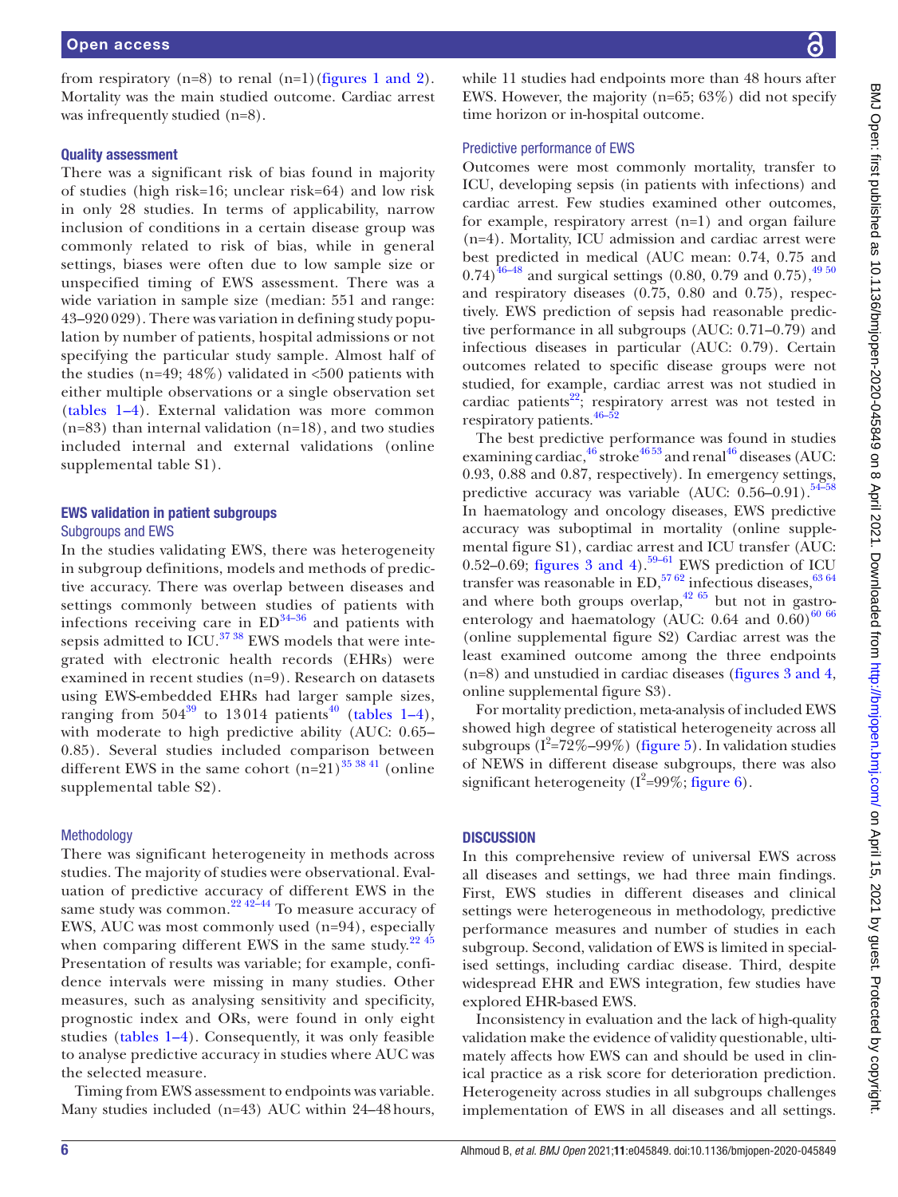from respiratory (n=8) to renal (n=1)(figures [1 and 2](#page-1-1)). Mortality was the main studied outcome. Cardiac arrest was infrequently studied (n=8).

#### Quality assessment

There was a significant risk of bias found in majority of studies (high risk=16; unclear risk=64) and low risk in only 28 studies. In terms of applicability, narrow inclusion of conditions in a certain disease group was commonly related to risk of bias, while in general settings, biases were often due to low sample size or unspecified timing of EWS assessment. There was a wide variation in sample size (median: 551 and range: 43–920 029). There was variation in defining study population by number of patients, hospital admissions or not specifying the particular study sample. Almost half of the studies (n=49; 48%) validated in  $<500$  patients with either multiple observations or a single observation set ([tables](#page-3-0) 1–4). External validation was more common  $(n=83)$  than internal validation  $(n=18)$ , and two studies included internal and external validations [\(online](https://dx.doi.org/10.1136/bmjopen-2020-045849) [supplemental table S1\)](https://dx.doi.org/10.1136/bmjopen-2020-045849).

# EWS validation in patient subgroups

# Subgroups and EWS

In the studies validating EWS, there was heterogeneity in subgroup definitions, models and methods of predictive accuracy. There was overlap between diseases and settings commonly between studies of patients with infections receiving care in  $ED^{34-36}$  and patients with sepsis admitted to  $\text{ICU}$ .<sup>37</sup> <sup>38</sup> EWS models that were integrated with electronic health records (EHRs) were examined in recent studies (n=9). Research on datasets using EWS-embedded EHRs had larger sample sizes, ranging from  $504^{39}$  $504^{39}$  $504^{39}$  to 13014 patients<sup>[40](#page-15-15)</sup> ([tables](#page-3-0) 1–4), with moderate to high predictive ability (AUC: 0.65– 0.85). Several studies included comparison between different EWS in the same cohort  $(n=21)^{35}$   $38$   $41$  [\(online](https://dx.doi.org/10.1136/bmjopen-2020-045849) [supplemental table S2\)](https://dx.doi.org/10.1136/bmjopen-2020-045849).

#### Methodology

There was significant heterogeneity in methods across studies. The majority of studies were observational. Evaluation of predictive accuracy of different EWS in the same study was common.<sup>22 42–44</sup> To measure accuracy of EWS, AUC was most commonly used (n=94), especially when comparing different EWS in the same study. $22\frac{45}{10}$ Presentation of results was variable; for example, confidence intervals were missing in many studies. Other measures, such as analysing sensitivity and specificity, prognostic index and ORs, were found in only eight studies ([tables](#page-3-0) 1–4). Consequently, it was only feasible to analyse predictive accuracy in studies where AUC was the selected measure.

Timing from EWS assessment to endpoints was variable. Many studies included (n=43) AUC within 24–48hours, while 11 studies had endpoints more than 48 hours after EWS. However, the majority (n=65; 63%) did not specify time horizon or in-hospital outcome.

#### Predictive performance of EWS

Outcomes were most commonly mortality, transfer to ICU, developing sepsis (in patients with infections) and cardiac arrest. Few studies examined other outcomes, for example, respiratory arrest (n=1) and organ failure (n=4). Mortality, ICU admission and cardiac arrest were best predicted in medical (AUC mean: 0.74, 0.75 and  $(0.74)^{\overline{46-48}}$  and surgical settings  $(0.80, 0.79 \text{ and } 0.75),^{49.50}$ and respiratory diseases (0.75, 0.80 and 0.75), respectively. EWS prediction of sepsis had reasonable predictive performance in all subgroups (AUC: 0.71–0.79) and infectious diseases in particular (AUC: 0.79). Certain outcomes related to specific disease groups were not studied, for example, cardiac arrest was not studied in cardiac patients<sup>22</sup>; respiratory arrest was not tested in respiratory patients.  $46-52$ 

The best predictive performance was found in studies examining cardiac, $46\arctan 4653$  and renal $46\arctan 46$  diseases (AUC: 0.93, 0.88 and 0.87, respectively). In emergency settings, predictive accuracy was variable (AUC:  $0.56-0.91$ ).<sup>54-58</sup> In haematology and oncology diseases, EWS predictive accuracy was suboptimal in mortality [\(online supple](https://dx.doi.org/10.1136/bmjopen-2020-045849)[mental figure S1](https://dx.doi.org/10.1136/bmjopen-2020-045849)), cardiac arrest and ICU transfer (AUC: 0.52–0.69; figures [3 and 4\)](#page-12-0).<sup>59–61</sup> EWS prediction of ICU transfer was reasonable in ED,  $5762$  infectious diseases,  $6364$ and where both groups overlap,  $42\,65$  but not in gastroenterology and haematology (AUC:  $0.64$  and  $0.60$ )<sup>60 66</sup> [\(online supplemental figure S2](https://dx.doi.org/10.1136/bmjopen-2020-045849)) Cardiac arrest was the least examined outcome among the three endpoints (n=8) and unstudied in cardiac diseases (figures [3 and 4](#page-12-0), [online supplemental figure S3](https://dx.doi.org/10.1136/bmjopen-2020-045849)).

For mortality prediction, meta-analysis of included EWS showed high degree of statistical heterogeneity across all subgroups  $(I^2=72\% - 99\%)$  ([figure](#page-13-0) 5). In validation studies of NEWS in different disease subgroups, there was also significant heterogeneity ( $I^2$ =99%; [figure](#page-13-1) 6).

#### **DISCUSSION**

In this comprehensive review of universal EWS across all diseases and settings, we had three main findings. First, EWS studies in different diseases and clinical settings were heterogeneous in methodology, predictive performance measures and number of studies in each subgroup. Second, validation of EWS is limited in specialised settings, including cardiac disease. Third, despite widespread EHR and EWS integration, few studies have explored EHR-based EWS.

Inconsistency in evaluation and the lack of high-quality validation make the evidence of validity questionable, ultimately affects how EWS can and should be used in clinical practice as a risk score for deterioration prediction. Heterogeneity across studies in all subgroups challenges implementation of EWS in all diseases and all settings.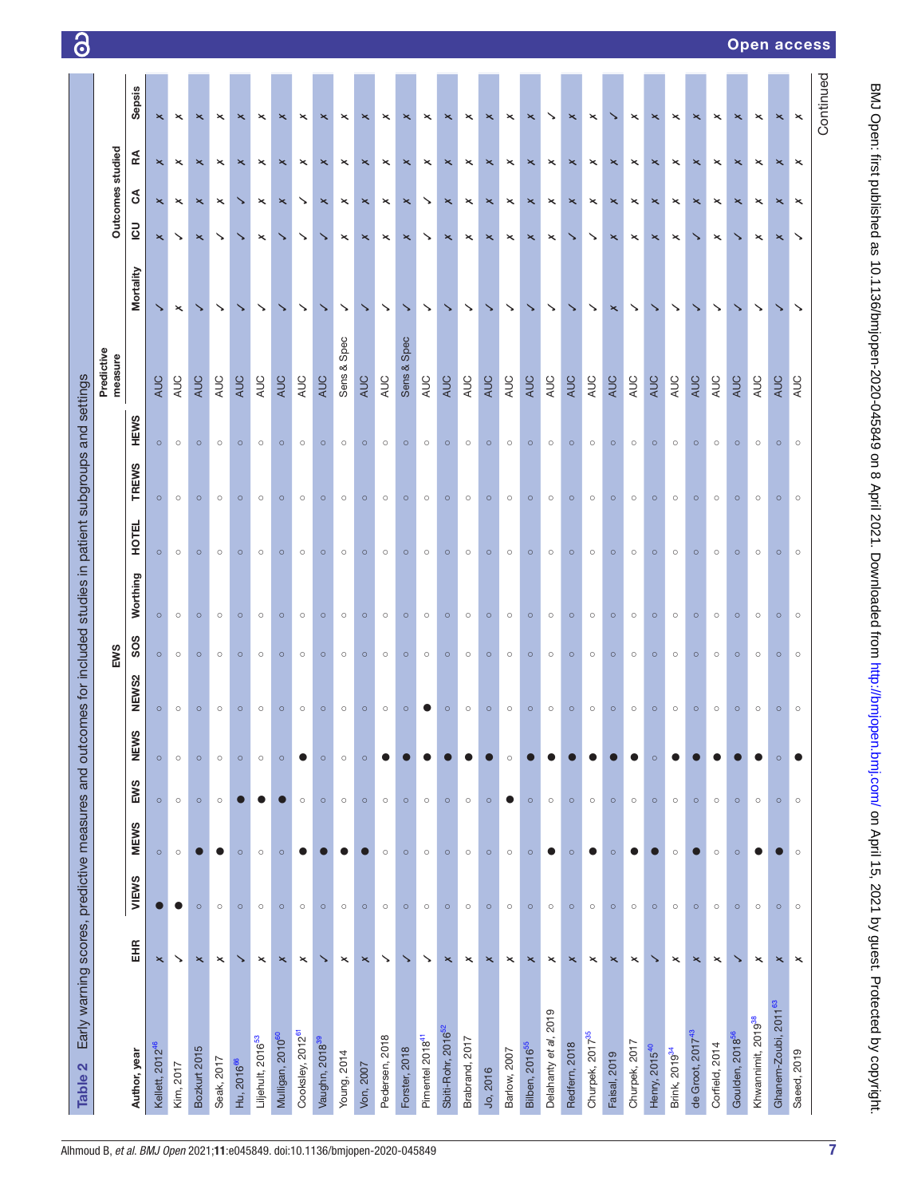| Early warning scores, predictive measures and outcomes for included studies in patient subgroups and settings<br>Table 2 |                           |           |             |           |         |         |                 |          |              |              |             |                       |                       |                       |                       |                           |                           |
|--------------------------------------------------------------------------------------------------------------------------|---------------------------|-----------|-------------|-----------|---------|---------|-----------------|----------|--------------|--------------|-------------|-----------------------|-----------------------|-----------------------|-----------------------|---------------------------|---------------------------|
|                                                                                                                          |                           |           |             |           |         |         | EWS             |          |              |              |             | Predictive<br>measure |                       |                       | Outcomes studied      |                           |                           |
| Author, year                                                                                                             | EHR                       | VIEWS     | <b>MEWS</b> | EWS       | NEWS    | NEWS2   | SO <sub>S</sub> | Worthing | <b>HOTEL</b> | <b>TREWS</b> | <b>HEWS</b> |                       | Mortality             | $\overline{c}$        | $\delta$              | Æ                         | <b>Sepsis</b>             |
| Kellett, 2012 <sup>46</sup>                                                                                              | $\mathbf{\times}$         |           | $\circ$     | $\circ$   | $\circ$ | $\circ$ | $\circ$         | $\circ$  | $\circ$      | $\circ$      | $\circ$     | <b>AUC</b>            | ↘                     | $\mathsf{\mathsf{x}}$ | $\times$              | $\mathbf{\times}$         | $\boldsymbol{\mathsf{x}}$ |
| Kim, 2017                                                                                                                | ↘                         | $\bullet$ | $\circ$     | $\circ$   | $\circ$ | $\circ$ | $\circ$         | $\circ$  | $\circ$      | $\circ$      | $\circ$     | AUC                   | $\boldsymbol{\times}$ | ↘                     | $\times$              | $\mathord{\times}$        | $\mathord{\times}$        |
| Bozkurt 2015                                                                                                             | $\pmb{\times}$            | $\circ$   | С.          | $\circ$   | $\circ$ | $\circ$ | $\circ$         | $\circ$  | $\circ$      | $\circ$      | $\circ$     | AUC                   | ↘                     | $\pmb{\times}$        | $\mathord{\times}$    | $\boldsymbol{\times}$     | $\mathord{\times}$        |
| Seak, 2017                                                                                                               | ×                         | $\circ$   | $\bullet$   | $\circ$   | $\circ$ | $\circ$ | $\circ$         | $\circ$  | O            | $\circ$      | $\circ$     | AUC                   | ↘                     | ↘                     | $\times$              | $\mathord{\times}$        | $\times$                  |
| Hu, 2016 <sup>66</sup>                                                                                                   | ↘                         | $\circ$   | $\circ$     |           | $\circ$ | $\circ$ | $\circ$         | $\circ$  | $\circ$      | $\circ$      | $\circ$     | AUC                   | ↘                     |                       | ↘                     | $\pmb{\times}$            | ×                         |
| Liljehult, 2016 <sup>53</sup>                                                                                            | $\mathord{\times}$        | $\circ$   | $\circ$     | D         | $\circ$ | $\circ$ | $\circ$         | $\circ$  | $\circ$      | $\circ$      | $\circ$     | AUC                   | ↘                     | $\!\times\!$          | $\mathord{\times}$    | $\mathord{\times}$        | ×                         |
| Mulligan, 2010 <sup>60</sup>                                                                                             | $\boldsymbol{\mathsf{x}}$ | $\circ$   | $\circ$     |           | $\circ$ | $\circ$ | $\circ$         | $\circ$  | $\circ$      | $\circ$      | $\circ$     | AUC                   | ↘                     | ↘                     | ×                     | $\boldsymbol{\mathsf{x}}$ | ×                         |
| Cooksley, 2012 <sup>61</sup>                                                                                             | $\boldsymbol{\times}$     | $\circ$   | $\bullet$   | $\circ$   | 0       | $\circ$ | $\circ$         | $\circ$  | $\circ$      | $\circ$      | $\circ$     | AUC                   | ↘                     | ↘                     | ↘                     | $\mathord{\times}$        | ×                         |
| Vaughn, 2018 <sup>39</sup>                                                                                               | ↘                         | $\circ$   |             | $\circ$   | $\circ$ | $\circ$ | $\circ$         | $\circ$  | $\circ$      | $\circ$      | $\circ$     | AUC                   | ↘                     | ↘                     | ×                     | $\mathord{\times}$        | ×                         |
| Young, 2014                                                                                                              | $\mathord{\times}$        | $\circ$   | O           | $\circ$   | $\circ$ | $\circ$ | $\circ$         | $\circ$  | $\circ$      | $\circ$      | $\circ$     | Spec<br>Sens &        | ↘                     | $\times$              | $\pmb{\times}$        | $\times$                  | ×                         |
| Von, 2007                                                                                                                | $\times$                  | $\circ$   | C           | $\circ$   | $\circ$ | $\circ$ | $\circ$         | $\circ$  | $\circ$      | $\circ$      | $\circ$     | <b>AUC</b>            | ↘                     | $\times$              | $\times$              | $\mathord{\times}$        | ×                         |
| Pedersen, 2018                                                                                                           | ↘                         | $\circ$   | $\circ$     | $\circ$   |         | $\circ$ | $\circ$         | $\circ$  | $\circ$      | $\circ$      | $\circ$     | AUC                   | $\checkmark$          | $\pmb{\times}$        | $\pmb{\times}$        | $\mathord{\times}$        | ×                         |
| Forster, 2018                                                                                                            | ↘                         | $\circ$   | $\circ$     | $\circ$   |         | $\circ$ | $\circ$         | $\circ$  | $\circ$      | $\circ$      | $\circ$     | Sens & Spec           | ↘                     | ×                     | ×                     | $\times$                  | ×                         |
| Pimentel 2018 <sup>41</sup>                                                                                              | ↘                         | $\circ$   | $\circ$     | $\circ$   |         |         | $\circ$         | $\circ$  | $\circ$      | $\circ$      | $\circ$     | AUC                   | $\checkmark$          | ↘                     | ↘                     | $\boldsymbol{\times}$     | ×                         |
| Sbiti-Rohr, 2016 <sup>52</sup>                                                                                           | $\pmb{\times}$            | $\circ$   | $\circ$     | $\circ$   |         | $\circ$ | $\circ$         | $\circ$  | $\circ$      | $\circ$      | $\circ$     | AUC                   | ↘                     | $\pmb{\times}$        | $\mathord{\times}$    | $\pmb{\times}$            | ×                         |
| Brabrand, 2017                                                                                                           | ×                         | $\circ$   | $\circ$     | $\circ$   |         | $\circ$ | $\circ$         | $\circ$  | $\circ$      | $\circ$      | $\circ$     | AUC                   | $\checkmark$          | $\mathord{\times}$    | $\!\times\!$          | $\mathord{\times}$        | ×                         |
| Jo, 2016                                                                                                                 | $\times$                  | $\circ$   | $\circ$     | $\circ$   |         | $\circ$ | $\circ$         | $\circ$  | $\circ$      | $\circ$      | $\circ$     | AUC                   | ↘                     | $\mathord{\times}$    | $\mathord{\times}$    | $\pmb{\times}$            | $\boldsymbol{\times}$     |
| Barlow, 2007                                                                                                             | $\!\times\!$              | $\circ$   | $\circ$     | $\bullet$ | $\circ$ | $\circ$ | $\circ$         | $\circ$  | $\circ$      | $\circ$      | $\circ$     | AUC                   | ↘                     | $\boldsymbol{\times}$ | $\boldsymbol{\times}$ | $\pmb{\times}$            | $\mathord{\times}$        |
| Bilben, 2016 <sup>55</sup>                                                                                               | $\mathbf{\times}$         | $\circ$   | $\circ$     | $\circ$   |         | $\circ$ | $\circ$         | $\circ$  | $\circ$      | $\circ$      | $\circ$     | AUC                   | ↘                     | $\times$              | $\mathord{\times}$    | $\boldsymbol{\mathsf{x}}$ | ×                         |
| Delahanty et al, 2019                                                                                                    | $\mathord{\times}$        | $\circ$   | 0           | $\circ$   |         | $\circ$ | $\circ$         | $\circ$  | $\circ$      | $\circ$      | $\circ$     | <b>AUC</b>            | ↘                     | $\boldsymbol{\times}$ | $\boldsymbol{\times}$ | $\times$                  | ↘                         |
| Redfern, 2018                                                                                                            | $\times$                  | $\circ$   | $\circ$     | $\circ$   |         | $\circ$ | $\circ$         | $\circ$  | $\circ$      | $\circ$      | $\circ$     | AUC                   | ↘                     |                       | ×                     | $\boldsymbol{\mathsf{x}}$ | ×                         |
| Churpek, 2017 <sup>35</sup>                                                                                              | $\!\times\!$              | $\circ$   | 0           | $\circ$   |         | $\circ$ | $\circ$         | $\circ$  | $\circ$      | $\circ$      | $\circ$     | AUC                   | ↘                     | ↘                     | $\mathord{\times}$    | $\times$                  | $\times$                  |
| Faisal, 2019                                                                                                             | ×                         | $\circ$   | $\circ$     | $\circ$   |         | $\circ$ | $\circ$         | $\circ$  | $\circ$      | $\circ$      | $\circ$     | AUC                   | ×                     | ×                     | ×                     | $\boldsymbol{\mathsf{x}}$ |                           |
| Churpek, 2017                                                                                                            | $\!\times\!$              | $\circ$   | o           | $\circ$   |         | $\circ$ | $\circ$         | $\circ$  | $\circ$      | $\circ$      | $\circ$     | AUC                   | ↘                     | $\!\times\!$          | $\!\times\!$          | $\boldsymbol{\times}$     | ×                         |
| Henry, 2015 <sup>40</sup>                                                                                                | ↘                         | $\circ$   |             | $\circ$   | $\circ$ | $\circ$ | $\circ$         | $\circ$  | $\circ$      | $\circ$      | $\circ$     | AUC                   | ↘                     | ×                     | ×                     | $\mathord{\times}$        | ×                         |
| Brink, 2019 <sup>34</sup>                                                                                                | $\pmb{\times}$            | $\circ$   | $\circ$     | $\circ$   |         | $\circ$ | $\circ$         | $\circ$  | $\circ$      | $\circ$      | $\circ$     | AUC                   | ↘                     | $\boldsymbol{\times}$ | $\boldsymbol{\times}$ | $\pmb{\times}$            | $\mathord{\times}$        |
| de Groot, 2017 <sup>43</sup>                                                                                             | $\pmb{\times}$            | $\circ$   | 0           | $\circ$   |         | $\circ$ | $\circ$         | $\circ$  | $\circ$      | $\circ$      | $\circ$     | AUC                   | ↘                     | ↘                     | ×                     | $\times$                  | ×                         |
| Corfield, 2014                                                                                                           | $\!\times\!$              | $\circ$   | $\circ$     | $\circ$   |         | $\circ$ | $\circ$         | $\circ$  | $\circ$      | $\circ$      | $\circ$     | AUC                   | ↘                     | $\mathord{\times}$    | $\mathord{\times}$    | $\boldsymbol{\times}$     | $\mathord{\times}$        |
| Goulden, 2018 <sup>56</sup>                                                                                              | ↘                         | $\circ$   | $\circ$     | $\circ$   |         | $\circ$ | $\circ$         | $\circ$  | $\circ$      | $\circ$      | $\circ$     | <b>AUC</b>            | ↘                     | ↘                     | ×                     | ×                         | ×                         |
| Khwannimit, 2019 <sup>38</sup>                                                                                           | $\mathord{\times}$        | $\circ$   |             | $\circ$   |         | $\circ$ | $\circ$         | $\circ$  | $\circ$      | $\circ$      | $\circ$     | AUC                   | ↘                     | $\times$              | $\times$              | $\times$                  | $\times$                  |
| Ghanem-Zoubi, 2011 <sup>63</sup>                                                                                         | $\boldsymbol{\mathsf{x}}$ | $\circ$   |             | $\circ$   | $\circ$ | $\circ$ | $\circ$         | $\circ$  | $\circ$      | $\circ$      | $\circ$     | AUC                   | ↘                     | $\mathord{\times}$    | $\mathord{\times}$    | $\boldsymbol{\mathsf{x}}$ | $\pmb{\times}$            |
| Saeed, 2019                                                                                                              | $\times$                  | $\circ$   | $\circ$     | $\circ$   |         | $\circ$ | $\circ$         | $\circ$  | $\circ$      | $\circ$      | $\circ$     | <b>AUC</b>            | ↘                     | ↘                     | ×                     | $\mathord{\times}$        | $\boldsymbol{\times}$     |
|                                                                                                                          |                           |           |             |           |         |         |                 |          |              |              |             |                       |                       |                       |                       |                           | Continued                 |

7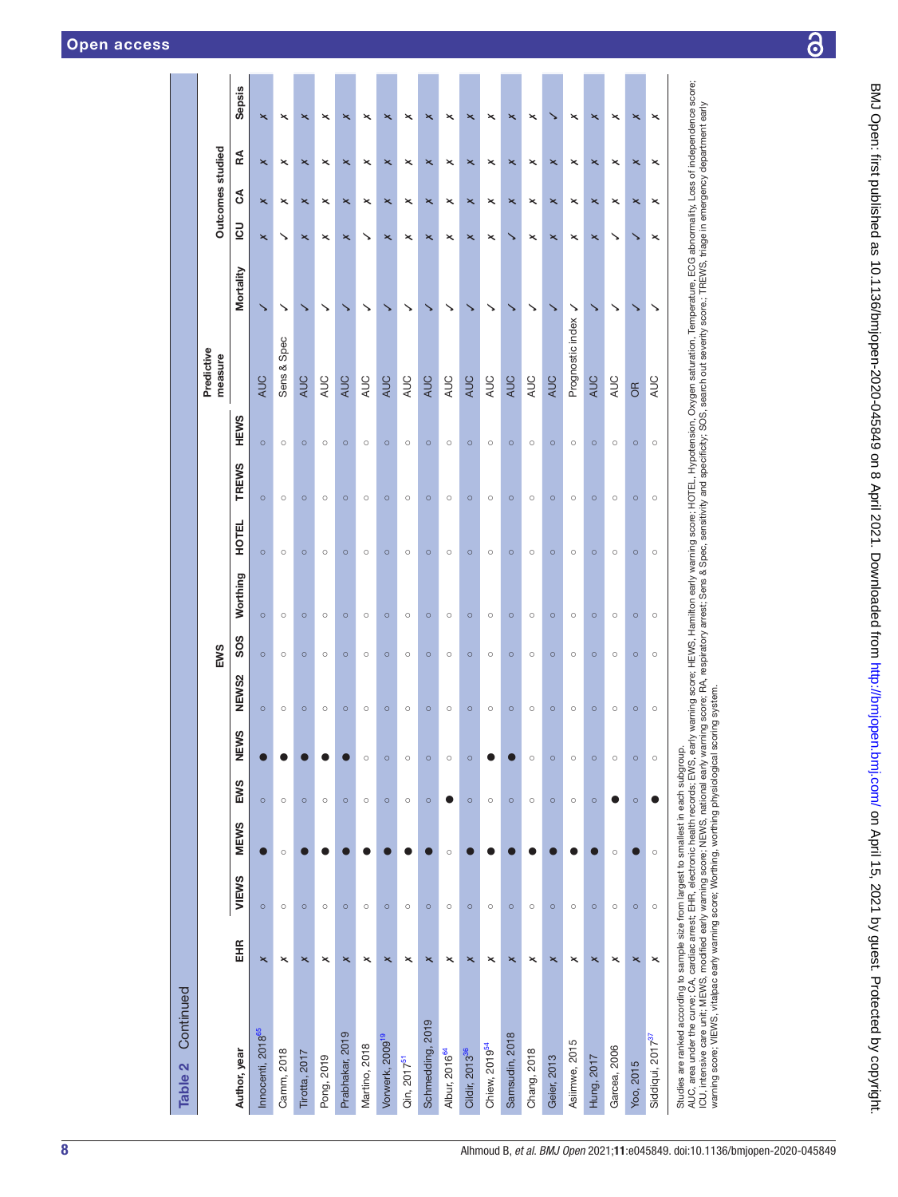| Continued<br>Table 2                                                                                                                                                                                                                                                                                                                                                                                                                                                                                                                                       |                         |         |             |         |         |         |                 |          |              |         |             |                       |              |                         |                                                        |                           |
|------------------------------------------------------------------------------------------------------------------------------------------------------------------------------------------------------------------------------------------------------------------------------------------------------------------------------------------------------------------------------------------------------------------------------------------------------------------------------------------------------------------------------------------------------------|-------------------------|---------|-------------|---------|---------|---------|-----------------|----------|--------------|---------|-------------|-----------------------|--------------|-------------------------|--------------------------------------------------------|---------------------------|
|                                                                                                                                                                                                                                                                                                                                                                                                                                                                                                                                                            |                         |         |             |         |         |         | EWS             |          |              |         |             | Predictive<br>measure |              |                         | Outcomes studied                                       |                           |
| Author, year                                                                                                                                                                                                                                                                                                                                                                                                                                                                                                                                               | EНR                     | VIEWS   | <b>MEWS</b> | EWS     | NEWS    | NEWS2   | SO <sub>S</sub> | Worthing | <b>HOTEL</b> | TREWS   | <b>HEWS</b> |                       | Mortality    | <u>50</u>               | RA<br>రే                                               | <b>Sepsis</b>             |
| Innocenti, 2018 <sup>65</sup>                                                                                                                                                                                                                                                                                                                                                                                                                                                                                                                              | $\overline{\mathbf{x}}$ | $\circ$ | 0           | $\circ$ |         | $\circ$ | $\circ$         | $\circ$  | $\circ$      | $\circ$ | $\circ$     | <b>AUC</b>            | ↘            | $\times$                | $\overline{\mathbf{x}}$<br>$\overline{\mathbf{x}}$     | $\overline{\mathbf{x}}$   |
| Camm, 2018                                                                                                                                                                                                                                                                                                                                                                                                                                                                                                                                                 | ×                       | $\circ$ | $\circ$     | $\circ$ |         | $\circ$ | $\circ$         | $\circ$  | $\circ$      | $\circ$ | $\circ$     | Sens & Spec           | ↘            | ↘                       | ×<br>×                                                 | ×                         |
| <b>Tirotta</b> , 2017                                                                                                                                                                                                                                                                                                                                                                                                                                                                                                                                      | $\overline{\mathbf{x}}$ | $\circ$ |             | $\circ$ |         | $\circ$ | $\circ$         | $\circ$  | $\circ$      | $\circ$ | $\circ$     | <b>AUC</b>            |              | $\times$                | $\boldsymbol{\mathsf{x}}$<br>$\boldsymbol{\mathsf{x}}$ | $\times$                  |
| Pong, 2019                                                                                                                                                                                                                                                                                                                                                                                                                                                                                                                                                 | ×                       | $\circ$ |             | $\circ$ |         | $\circ$ | $\circ$         | $\circ$  | $\circ$      | $\circ$ | $\circ$     | AUC                   | ↘            | ×                       | ×<br>×                                                 | ×                         |
| Prabhakar, 2019                                                                                                                                                                                                                                                                                                                                                                                                                                                                                                                                            | $\overline{\mathbf{x}}$ | $\circ$ |             | $\circ$ |         | $\circ$ | $\circ$         | $\circ$  | $\circ$      | $\circ$ | $\circ$     | AUC                   |              | ×                       | ×<br>×                                                 | ×                         |
| Martino, 2018                                                                                                                                                                                                                                                                                                                                                                                                                                                                                                                                              | $\times$                | $\circ$ |             | $\circ$ | $\circ$ | $\circ$ | $\circ$         | $\circ$  | $\circ$      | $\circ$ | $\circ$     | <b>AUC</b>            |              |                         | ×<br>×                                                 | ×                         |
| Vorwerk, 2009 <sup>19</sup>                                                                                                                                                                                                                                                                                                                                                                                                                                                                                                                                | $\overline{\mathsf{x}}$ | $\circ$ |             | $\circ$ | $\circ$ | $\circ$ | $\circ$         | $\circ$  | $\circ$      | $\circ$ | $\circ$     | <b>AUC</b>            |              | $\overline{\mathbf{x}}$ | $\overline{\mathbf{x}}$<br>$\overline{\mathbf{x}}$     | ×                         |
| Qin, 2017 <sup>51</sup>                                                                                                                                                                                                                                                                                                                                                                                                                                                                                                                                    | ×                       | $\circ$ |             | $\circ$ | $\circ$ | $\circ$ | $\circ$         | $\circ$  | $\circ$      | $\circ$ | $\circ$     | AUC                   |              | ×                       | ×<br>×                                                 | ×                         |
| Schmedding, 2019                                                                                                                                                                                                                                                                                                                                                                                                                                                                                                                                           | $\overline{\mathbf{x}}$ | $\circ$ |             | $\circ$ | $\circ$ | $\circ$ | $\circ$         | $\circ$  | $\circ$      | $\circ$ | $\circ$     | <b>AUC</b>            |              | ×                       | ×<br>×                                                 | ×                         |
| Albur, 2016 <sup>64</sup>                                                                                                                                                                                                                                                                                                                                                                                                                                                                                                                                  | ×                       | $\circ$ | $\circ$     | ●       | $\circ$ | $\circ$ | $\circ$         | $\circ$  | $\circ$      | $\circ$ | $\circ$     | <b>AUC</b>            |              | $\times$                | $\times$<br>×                                          | $\times$                  |
| Cildir, 2013 <sup>36</sup>                                                                                                                                                                                                                                                                                                                                                                                                                                                                                                                                 | $\overline{\mathbf{x}}$ | $\circ$ |             | $\circ$ | $\circ$ | $\circ$ | $\circ$         | $\circ$  | $\circ$      | $\circ$ | $\circ$     | <b>AUC</b>            |              | $\overline{\mathbf{x}}$ | $\times$<br>$\times$                                   | ×                         |
| Chiew, 2019 <sup>54</sup>                                                                                                                                                                                                                                                                                                                                                                                                                                                                                                                                  | $\mathord{\times}$      | $\circ$ |             | $\circ$ |         | $\circ$ | $\circ$         | $\circ$  | $\circ$      | $\circ$ | $\circ$     | <b>AUC</b>            | ゝ            | ×                       | $\times$<br>×                                          | $\boldsymbol{\times}$     |
| Samsudin, 2018                                                                                                                                                                                                                                                                                                                                                                                                                                                                                                                                             | $\overline{\mathbf{x}}$ | $\circ$ |             | $\circ$ |         | $\circ$ | $\circ$         | $\circ$  | $\circ$      | $\circ$ | $\circ$     | <b>AUC</b>            |              |                         | $\boldsymbol{\mathsf{x}}$<br>$\boldsymbol{\mathsf{x}}$ | $\times$                  |
| Chang, 2018                                                                                                                                                                                                                                                                                                                                                                                                                                                                                                                                                | ×                       | $\circ$ |             | $\circ$ | $\circ$ | $\circ$ | $\circ$         | $\circ$  | $\circ$      | $\circ$ | $\circ$     | <b>AUC</b>            | ↘            | ×                       | $\times$<br>×                                          | ×                         |
| Geier, 2013                                                                                                                                                                                                                                                                                                                                                                                                                                                                                                                                                | $\overline{\mathbf{x}}$ | $\circ$ |             | $\circ$ | $\circ$ | $\circ$ | $\circ$         | $\circ$  | $\circ$      | $\circ$ | $\circ$     | <b>AUC</b>            |              | $\overline{\mathbf{x}}$ | $\overline{\mathbf{x}}$<br>$\overline{\mathbf{x}}$     |                           |
| Asiimwe, 2015                                                                                                                                                                                                                                                                                                                                                                                                                                                                                                                                              | ×                       | $\circ$ |             | $\circ$ | $\circ$ | $\circ$ | $\circ$         | $\circ$  | $\circ$      | $\circ$ | $\circ$     | Prognostic index      | $\checkmark$ | ×                       | ×<br>×                                                 | ×                         |
| Hung, 2017                                                                                                                                                                                                                                                                                                                                                                                                                                                                                                                                                 | ×                       | $\circ$ |             | $\circ$ | $\circ$ | $\circ$ | $\circ$         | $\circ$  | $\circ$      | $\circ$ | $\circ$     | <b>AUC</b>            |              | $\overline{\mathbf{x}}$ | ×<br>$\overline{\mathbf{x}}$                           | ×                         |
| Garcea, 2006                                                                                                                                                                                                                                                                                                                                                                                                                                                                                                                                               | ×                       | $\circ$ | $\circ$     |         | $\circ$ | $\circ$ | $\circ$         | $\circ$  | $\circ$      | $\circ$ | $\circ$     | AUC                   | ↘            | ↘                       | ×<br>×                                                 | ×                         |
| Yoo, 2015                                                                                                                                                                                                                                                                                                                                                                                                                                                                                                                                                  | ×                       | $\circ$ |             | $\circ$ | $\circ$ | $\circ$ | $\circ$         | $\circ$  | $\circ$      | $\circ$ | $\circ$     | 6R                    | ↘            |                         | ×<br>×                                                 | $\times$                  |
| Siddiqui, 2017 <sup>37</sup>                                                                                                                                                                                                                                                                                                                                                                                                                                                                                                                               | ×                       | $\circ$ | $\circ$     |         | $\circ$ | $\circ$ | $\circ$         | $\circ$  | $\circ$      | $\circ$ | $\circ$     | <b>AUC</b>            | ↘            | ×                       | ×<br>$\boldsymbol{\mathsf{x}}$                         | $\boldsymbol{\mathsf{x}}$ |
| AUC, area under the curve; CA, cardiac arrest; EHR, electronic health records; EWS, early warning score; Hamilton early warning score; HOTEL, Hypotension, Oxygen saturation, Temperature, ECG abnormality, Loss of independen<br>ICII intensive motified early warning some NEWS mating as New area series that Sans & Spec senightivity and specificitivity and series series the series of the matrim mating material and dependent early warning and restric<br>Studies are ranked according to sample size from largest to smallest in each subgroup. |                         |         |             |         |         |         |                 |          |              |         |             |                       |              |                         |                                                        |                           |

CU, intensive care unit; MEWS, modified early warming score; NEVIS, national early warming score; RA, respiratory arrest; Sens & Spec, sensitivity and specificity; SOS, search out severity score; TREWS, triage in emergency ั 5 5  $\hat{\mathbf{z}}$ 5. ζ  $\tilde{\xi}$ į. וטט, ווושרואופי כפופ טווון, וארביאס, וווטטווופט פפון אימפון שפטסיפ, ואביאס, וופנוטוופו פפון אימווווון אַכטיפ, הא<br>Warning score; VIEWS, vitalpac early warning score; Worthing, worthing physiological scoring system. warning score; VIEWS, vitalpac early warning score; Worthing, worthing physiological scoring system.

 $\overline{\partial}$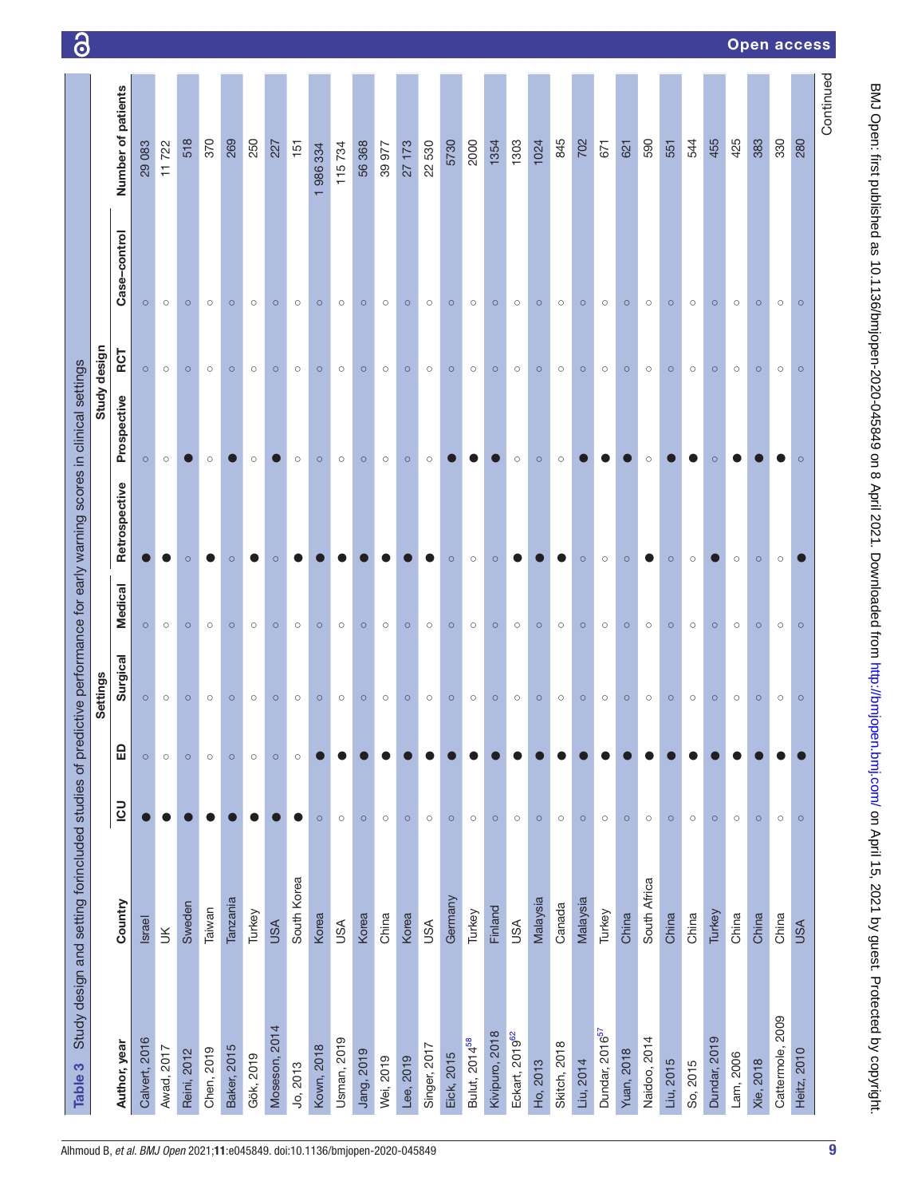| Table 3                    | Study design and setting forincluded studies of predictive performance for early warning scores in clinical settings |            |         |          |                |               |             |              |              |                    |
|----------------------------|----------------------------------------------------------------------------------------------------------------------|------------|---------|----------|----------------|---------------|-------------|--------------|--------------|--------------------|
|                            |                                                                                                                      |            |         | Settings |                |               |             | Study design |              |                    |
| Author, year               | Country                                                                                                              | <b>UCL</b> | 品       | Surgical | <b>Medical</b> | Retrospective | Prospective | RCT          | Case-control | Number of patients |
| Calvert, 2016              | <b>Israel</b>                                                                                                        |            | $\circ$ | $\circ$  | $\circ$        |               | $\circ$     | $\circ$      | $\circ$      | 29083              |
| Awad, 2017                 | $\geq$                                                                                                               |            | $\circ$ | $\circ$  | $\circ$        |               | $\circ$     | $\circ$      | $\circ$      | 11722              |
| Reini, 2012                | Sweden                                                                                                               |            | $\circ$ | $\circ$  | $\circ$        | $\circ$       |             | $\circ$      | $\circ$      | 518                |
| Chen, 2019                 | Taiwan                                                                                                               |            | $\circ$ | $\circ$  | $\circ$        |               | $\circ$     | $\circ$      | $\circ$      | 370                |
| <b>Baker, 2015</b>         | Tanzania                                                                                                             |            | $\circ$ | $\circ$  | $\circ$        | $\circ$       |             | $\circ$      | $\circ$      | 269                |
| Gök, 2019                  | Turkey                                                                                                               |            | $\circ$ | $\circ$  | $\circ$        |               | $\circ$     | $\circ$      | $\circ$      | 250                |
| Moseson, 2014              | <b>USA</b>                                                                                                           |            | $\circ$ | $\circ$  | $\circ$        | $\circ$       |             | $\circ$      | $\circ$      | 227                |
| Jo, 2013                   | South Korea                                                                                                          | D          | $\circ$ | $\circ$  | $\circ$        |               | $\circ$     | $\circ$      | $\circ$      | 151                |
| Kown, 2018                 | Korea                                                                                                                | $\circ$    |         | $\circ$  | $\circ$        |               | $\circ$     | $\circ$      | $\circ$      | 1986334            |
| Usman, 2019                | <b>USA</b>                                                                                                           | $\circ$    |         | $\circ$  | $\circ$        |               | $\circ$     | $\circ$      | $\circ$      | 115734             |
| Jang, 2019                 | Korea                                                                                                                | $\circ$    |         | $\circ$  | $\circ$        |               | $\circ$     | $\circ$      | $\circ$      | 56368              |
| Wei, 2019                  | China                                                                                                                | $\circ$    |         | $\circ$  | $\circ$        |               | $\circ$     | $\circ$      | $\circ$      | 39977              |
| Lee, 2019                  | Korea                                                                                                                | $\circ$    |         | $\circ$  | $\circ$        |               | $\circ$     | $\circ$      | $\circ$      | 27173              |
| Singer, 2017               | <b>USA</b>                                                                                                           | $\circ$    |         | $\circ$  | $\circ$        |               | $\circ$     | $\circ$      | $\circ$      | 22530              |
| Eick, 2015                 | Germany                                                                                                              | $\circ$    |         | $\circ$  | $\circ$        | $\circ$       |             | $\circ$      | $\circ$      | 5730               |
| Bulut, 2014 <sup>58</sup>  | Turkey                                                                                                               | $\circ$    |         | $\circ$  | $\circ$        | $\circ$       |             | $\circ$      | $\circ$      | 2000               |
| Kivipuro, 2018             | Finland                                                                                                              | $\circ$    |         | $\circ$  | $\circ$        | $\circ$       |             | $\circ$      | $\circ$      | 1354               |
| Eckart, 2019 <sup>62</sup> | <b>USA</b>                                                                                                           | $\circ$    |         | $\circ$  | $\circ$        |               | $\circ$     | $\circ$      | $\circ$      | 1303               |
| Ho, 2013                   | Malaysia                                                                                                             | $\circ$    |         | $\circ$  | $\circ$        |               | $\circ$     | $\circ$      | $\circ$      | 1024               |
| Skitch, 2018               | Canada                                                                                                               | $\circ$    |         | $\circ$  | $\circ$        |               | $\circ$     | $\circ$      | $\circ$      | 845                |
| Liu, 2014                  | Malaysia                                                                                                             | $\circ$    |         | $\circ$  | $\circ$        | $\circ$       |             | $\circ$      | $\circ$      | 702                |
| Dundar, 2016 <sup>57</sup> | Turkey                                                                                                               | $\circ$    |         | $\circ$  | $\circ$        | $\circ$       |             | $\circ$      | $\circ$      | 671                |
| <b>Yuan, 2018</b>          | China                                                                                                                | $\circ$    |         | $\circ$  | $\circ$        | $\circ$       |             | $\circ$      | $\circ$      | 621                |
| Naidoo, 2014               | South Africa                                                                                                         | $\circ$    |         | $\circ$  | $\circ$        |               | $\circ$     | $\circ$      | $\circ$      | 590                |
| Liu, 2015                  | China                                                                                                                | $\circ$    |         | $\circ$  | $\circ$        | $\circ$       |             | $\circ$      | $\circ$      | 551                |
| So, 2015                   | China                                                                                                                | $\circ$    |         | $\circ$  | $\circ$        | $\circ$       |             | $\circ$      | $\circ$      | 544                |
| Dundar, 2019               | Turkey                                                                                                               | $\circ$    |         | $\circ$  | $\circ$        |               | $\circ$     | $\circ$      | $\circ$      | 455                |
| Lam, 2006                  | China                                                                                                                | $\circ$    |         | $\circ$  | $\circ$        | $\circ$       |             | $\circ$      | $\circ$      | 425                |
| <b>Xie, 2018</b>           | China                                                                                                                | $\circ$    |         | $\circ$  | $\circ$        | $\circ$       |             | $\circ$      | $\circ$      | 383                |
| Cattermole, 2009           | China                                                                                                                | $\circ$    |         | $\circ$  | $\circ$        | $\circ$       |             | $\circ$      | $\circ$      | 330                |
| Heitz, 2010                | <b>USA</b>                                                                                                           | $\circ$    |         | $\circ$  | $\circ$        |               | $\circ$     | $\circ$      | $\circ$      | 280                |
|                            |                                                                                                                      |            |         |          |                |               |             |              |              | Continued          |

BMJ Open: first published as 10.1136/bmjopen-2020-045849 on 8 April 2021. Downloaded from http://bmjopen.bmj.com/ on April 15, 2021 by guest. Protected by copyright. BMJ Open: first published as 10.1136/bmjopen-2020-045849 on 8 April 2021. Downloaded from <http://bmjopen.bmj.com/> on April 15, 2021 by guest. Protected by copyright.

9

# Open access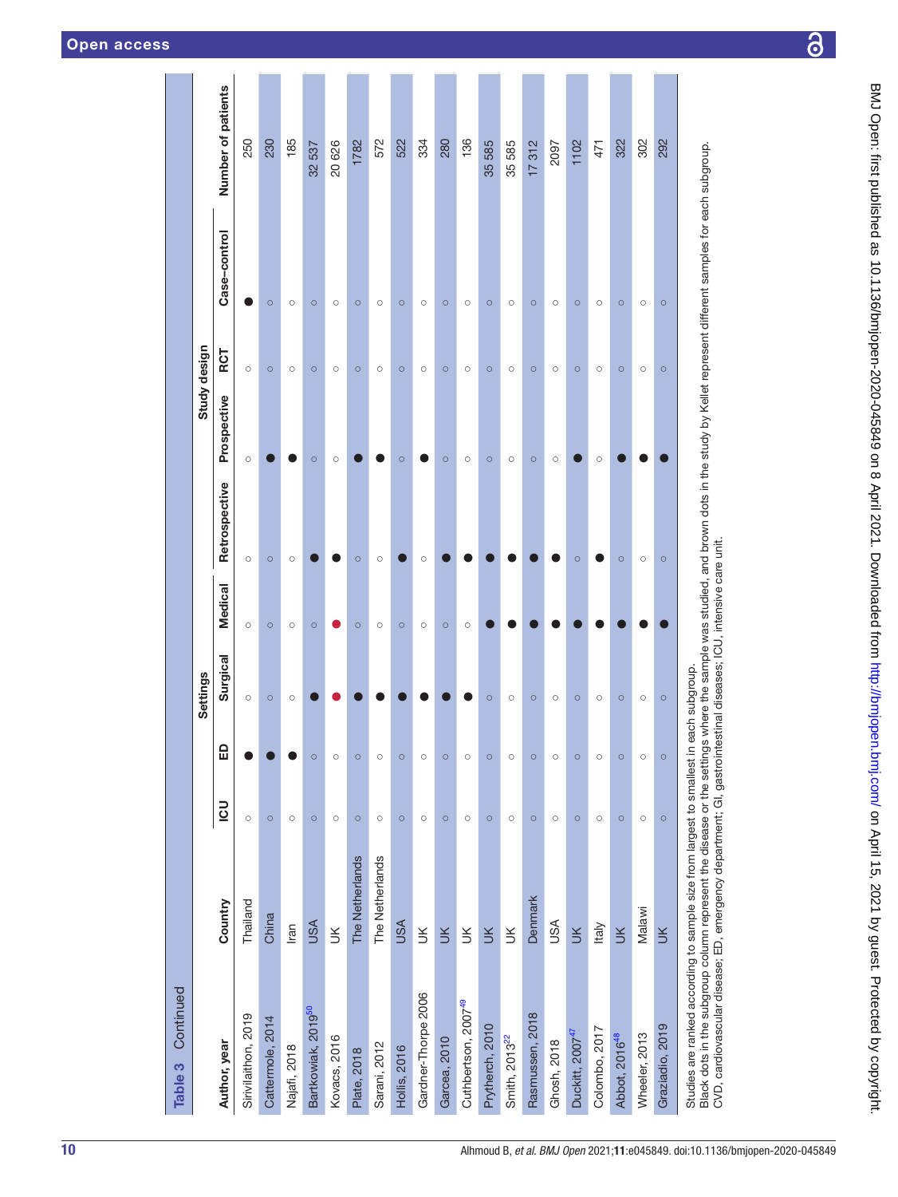|                                                                         |                 |         |         | <b>Settings</b> |                |               |             | Study design |              |                    |
|-------------------------------------------------------------------------|-----------------|---------|---------|-----------------|----------------|---------------|-------------|--------------|--------------|--------------------|
| Author, year                                                            | Country         | mo      | ₩       | Surgical        | <b>Medical</b> | Retrospective | Prospective | RCT          | Case-control | Number of patients |
| Sirivilaithon, 2019                                                     | Thailand        | $\circ$ |         | $\circ$         | $\circ$        | $\circ$       | $\circ$     | $\circ$      |              | 250                |
| Cattermole, 2014                                                        | China           | $\circ$ |         | $\circ$         | $\circ$        | $\circ$       |             | $\circ$      | $\circ$      | 230                |
| Najafi, 2018                                                            | Iran            | $\circ$ |         | $\circ$         | $\circ$        | $\circ$       |             | $\circ$      | $\circ$      | 185                |
| Bartkowiak, 2019 <sup>50</sup>                                          | <b>USA</b>      | $\circ$ | $\circ$ |                 | $\circ$        |               | $\circ$     | $\circ$      | $\circ$      | 32537              |
| Kovacs, 2016                                                            | $\leq$          | $\circ$ | $\circ$ |                 |                |               | $\circ$     | $\circ$      | $\circ$      | 20626              |
| Plate, 2018                                                             | The Netherlands | $\circ$ | $\circ$ |                 | $\circ$        | $\circ$       |             | $\circ$      | $\circ$      | 1782               |
| Sarani, 2012                                                            | The Netherlands | $\circ$ | $\circ$ |                 | $\circ$        | $\circ$       |             | $\circ$      | $\circ$      | 572                |
| <b>Hollis, 2016</b>                                                     | <b>USA</b>      | $\circ$ | $\circ$ |                 | $\circ$        |               | $\circ$     | $\circ$      | $\circ$      | 522                |
| Gardner-Thorpe 2006                                                     | $\leq$          | $\circ$ | $\circ$ |                 | $\circ$        | $\circ$       |             | $\circ$      | $\circ$      | 334                |
| Garcea, 2010                                                            | $\leq$          | $\circ$ | $\circ$ |                 | $\circ$        |               | $\circ$     | $\circ$      | $\circ$      | 280                |
| Cuthbertson, 2007 <sup>49</sup>                                         | $\leq$          | $\circ$ | $\circ$ |                 | $\circ$        |               | $\circ$     | $\circ$      | $\circ$      | 136                |
| Prytherch, 2010                                                         | $\leq$          | $\circ$ | $\circ$ | $\circ$         |                |               | $\circ$     | $\circ$      | $\circ$      | 35585              |
| Smith, 2013 <sup>22</sup>                                               | $\leq$          | $\circ$ | $\circ$ | $\circ$         |                |               | $\circ$     | $\circ$      | $\circ$      | 35585              |
| Rasmussen, 2018                                                         | Denmark         | $\circ$ | $\circ$ | $\circ$         |                |               | $\circ$     | $\circ$      | $\circ$      | 17312              |
| Ghosh, 2018                                                             | USA             | $\circ$ | $\circ$ | $\circ$         |                |               | $\circ$     | $\circ$      | $\circ$      | 2097               |
| Duckitt, 2007 <sup>47</sup>                                             | $\leq$          | $\circ$ | $\circ$ | $\circ$         |                | $\circ$       |             | $\circ$      | $\circ$      | 1102               |
| Colombo, 2017                                                           | Italy           | $\circ$ | $\circ$ | $\circ$         |                |               | $\circ$     | $\circ$      | $\circ$      | 471                |
| Abbot, 2016 <sup>48</sup>                                               | $\leq$          | $\circ$ | $\circ$ | $\circ$         |                | $\circ$       |             | $\circ$      | $\circ$      | 322                |
| Wheeler, 2013                                                           | Malawi          | $\circ$ | $\circ$ | $\circ$         |                | $\circ$       |             | $\circ$      | $\circ$      | 302                |
| Graziadio, 2019                                                         | $\leq$          | $\circ$ | $\circ$ | $\circ$         |                | $\circ$       |             | $\circ$      | $\circ$      | 292                |
| Studies are ranked according to sample size from largest to smallest in |                 |         |         | each subgroup.  |                |               |             |              |              |                    |

Black dots in the subgroup column represent the disease or the settings where the sample was studied, and brown dots in the study by Kellet represent different samples for each subgroup.<br>CVD, cardiovascular disease; ED, em Black dots in the subgroup column represent the disease or the settings where the sample was studied, and brown dots in the study by Kellet represent different samples for each subgroup. CVD, cardiovascular disease; ED, emergency department; GI, gastrointestinal diseases; ICU, intensive care unit.

10 Alhmoud B, *et al*. *BMJ Open* 2021;11:e045849. doi:10.1136/bmjopen-2020-045849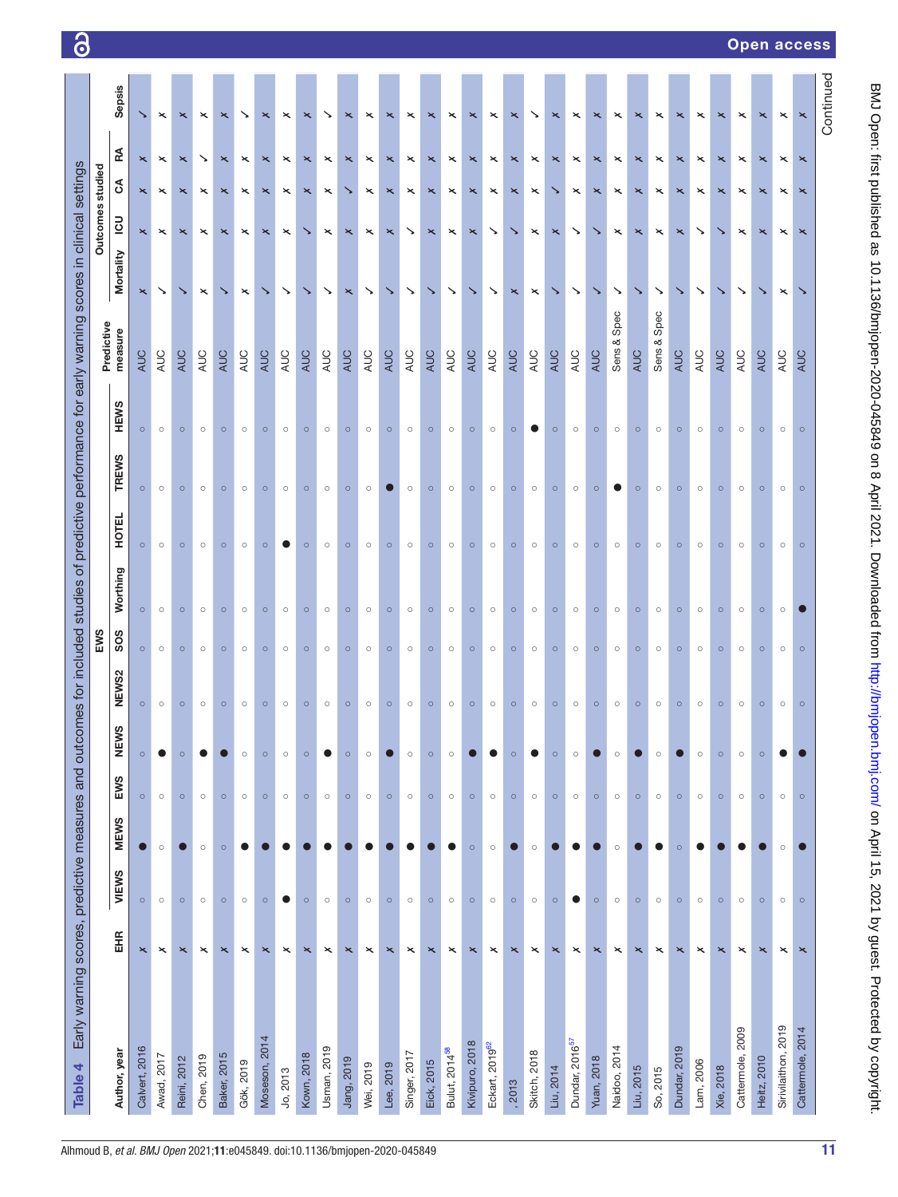| Early warning scores, predictive measures and outc<br>Table 4 |                       |           |             |         |                |         |                 |          |         |              |             | omes for included studies of predictive performance for early warning scores in clinical settings |                       |                       |                           |                           |                           |
|---------------------------------------------------------------|-----------------------|-----------|-------------|---------|----------------|---------|-----------------|----------|---------|--------------|-------------|---------------------------------------------------------------------------------------------------|-----------------------|-----------------------|---------------------------|---------------------------|---------------------------|
|                                                               |                       |           |             |         |                |         | EWS             |          |         |              |             |                                                                                                   |                       | Outcomes studied      |                           |                           |                           |
| Author, year                                                  | EHR                   | VIEWS     | <b>MEWS</b> | EWS     | Q)<br>MEN<br>N | NEWS2   | SO <sub>S</sub> | Worthing | 파<br>ĒЯ | <b>TREWS</b> | <b>HEWS</b> | Predictive<br>measure                                                                             | Mortality             | $\overline{c}$        | g                         | Æ                         | Sepsis                    |
| Calvert, 2016                                                 | $\pmb{\times}$        | $\circ$   |             | $\circ$ | $\circ$        | $\circ$ | $\circ$         | $\circ$  | $\circ$ | $\circ$      | $\circ$     | AUC                                                                                               | $\mathbf{\times}$     | $\mathbf{\times}$     | $\mathbf{\times}$         | $\mathbf{\times}$         | ↘                         |
| Awad, 2017                                                    | $\!\times\!$          | $\circ$   | $\circ$     | $\circ$ | $\bullet$      | $\circ$ | $\circ$         | $\circ$  | $\circ$ | $\circ$      | $\circ$     | AUC                                                                                               | $\searrow$            | $\boldsymbol{\times}$ | $\boldsymbol{\times}$     | $\pmb{\times}$            | $\boldsymbol{\times}$     |
| Reini, 2012                                                   | $\pmb{\times}$        | $\circ$   | $\bullet$   | $\circ$ | $\circ$        | $\circ$ | $\circ$         | $\circ$  | $\circ$ | $\circ$      | $\circ$     | AUC                                                                                               | ↘                     | $\mathbf{\times}$     | $\pmb{\times}$            | $\pmb{\times}$            | $\pmb{\times}$            |
| Chen, 2019                                                    | $\boldsymbol{\times}$ | $\circ$   | $\circ$     | $\circ$ |                | $\circ$ | $\circ$         | $\circ$  | $\circ$ | $\circ$      | $\circ$     | <b>AUC</b>                                                                                        | $\boldsymbol{\times}$ | $\boldsymbol{\times}$ | $\boldsymbol{\times}$     | ↘                         | $\!\times\!$              |
| Baker, 2015                                                   | $\pmb{\times}$        | $\circ$   | $\circ$     | $\circ$ |                | $\circ$ | $\circ$         | $\circ$  | $\circ$ | $\circ$      | $\circ$     | AUC                                                                                               | ↘                     | $\mathbf{\times}$     | $\pmb{\times}$            | $\times$                  | $\pmb{\times}$            |
| Gök, 2019                                                     | $\mathord{\times}$    | $\circ$   |             | $\circ$ | $\circ$        | $\circ$ | $\circ$         | $\circ$  | $\circ$ | $\circ$      | $\circ$     | <b>AUC</b>                                                                                        | $\times$              | $\times$              | $\!\times\!$              | $\pmb{\times}$            | ↘                         |
| Moseson, 2014                                                 | $\pmb{\times}$        | $\circ$   |             | $\circ$ | $\circ$        | $\circ$ | $\circ$         | $\circ$  | $\circ$ | $\circ$      | $\circ$     | AUC                                                                                               | ↘                     | $\boldsymbol{\times}$ | $\times$                  | $\pmb{\times}$            | $\times$                  |
| Jo, 2013                                                      | $\mathord{\times}$    | $\bullet$ |             | $\circ$ | $\circ$        | $\circ$ | $\circ$         | $\circ$  | O       | $\circ$      | $\circ$     | <b>AUC</b>                                                                                        | $\searrow$            | $\boldsymbol{\times}$ | $\mathord{\times}$        | $\!\times\!$              | $\times$                  |
| Kown, 2018                                                    | $\pmb{\times}$        | $\circ$   |             | $\circ$ | $\circ$        | $\circ$ | $\circ$         | $\circ$  | $\circ$ | $\circ$      | $\circ$     | AUC                                                                                               | ↘                     | ↘                     | $\pmb{\times}$            | $\pmb{\times}$            | $\pmb{\times}$            |
| Usman, 2019                                                   | $\boldsymbol{\times}$ | $\circ$   |             | $\circ$ | 0              | $\circ$ | $\circ$         | $\circ$  | $\circ$ | $\circ$      | $\circ$     | <b>AUC</b>                                                                                        | $\checkmark$          | $\times$              | $\mathord{\times}$        | $\pmb{\times}$            | ↘                         |
| Jang, 2019                                                    | ×                     | $\circ$   |             | $\circ$ | $\circ$        | $\circ$ | $\circ$         | $\circ$  | $\circ$ | $\circ$      | $\circ$     | AUC                                                                                               | $\pmb{\times}$        | ×                     | ↘                         | ×                         | ×                         |
| Wei, 2019                                                     | $\mathord{\times}$    | $\circ$   |             | $\circ$ | $\circ$        | $\circ$ | $\circ$         | $\circ$  | $\circ$ | $\circ$      | $\circ$     | <b>AUC</b>                                                                                        | $\searrow$            | $\times$              | $\times$                  | $\boldsymbol{\times}$     | $\times$                  |
| Lee, 2019                                                     | $\pmb{\times}$        | $\circ$   |             | $\circ$ | ×              | $\circ$ | $\circ$         | $\circ$  | $\circ$ | 0            | $\circ$     | <b>AUC</b>                                                                                        | ↘                     | $\pmb{\times}$        | $\pmb{\times}$            | $\pmb{\times}$            | $\times$                  |
| Singer, 2017                                                  | $\times$              | $\circ$   |             | $\circ$ | $\circ$        | $\circ$ | $\circ$         | $\circ$  | $\circ$ | $\circ$      | $\circ$     | <b>AUC</b>                                                                                        | ↘                     | ↘                     | $\times$                  | $\boldsymbol{\times}$     | $\times$                  |
| Eick, 2015                                                    | $\pmb{\times}$        | $\circ$   |             | $\circ$ | $\circ$        | $\circ$ | $\circ$         | $\circ$  | $\circ$ | $\circ$      | $\circ$     | AUC                                                                                               | ↘                     | $\mathsf{x}$          | $\times$                  | $\pmb{\times}$            | $\pmb{\times}$            |
| Bulut, 2014 <sup>58</sup>                                     | $\mathord{\times}$    | $\circ$   |             | $\circ$ | $\circ$        | $\circ$ | $\circ$         | $\circ$  | $\circ$ | $\circ$      | $\circ$     | AUC                                                                                               | $\searrow$            | $\boldsymbol{\times}$ | $\boldsymbol{\times}$     | $\boldsymbol{\times}$     | $\boldsymbol{\times}$     |
| Kivipuro, 2018                                                | $\mathbf{\times}$     | $\circ$   | $\circ$     | $\circ$ |                | $\circ$ | $\circ$         | $\circ$  | $\circ$ | $\circ$      | $\circ$     | AUC                                                                                               | ↘                     | $\mathbf{\times}$     | $\mathbf{\times}$         | $\mathsf{x}$              | $\pmb{\times}$            |
| Eckart, 2019 <sup>62</sup>                                    | $\boldsymbol{\times}$ | $\circ$   | $\circ$     | $\circ$ |                | $\circ$ | $\circ$         | $\circ$  | $\circ$ | $\circ$      | $\circ$     | <b>AUC</b>                                                                                        | $\checkmark$          | ↘                     | $\boldsymbol{\times}$     | $\boldsymbol{\times}$     | $\times$                  |
| , 2013                                                        | $\boldsymbol{\times}$ | $\circ$   |             | $\circ$ | $\circ$        | $\circ$ | $\circ$         | $\circ$  | $\circ$ | $\circ$      | $\circ$     | <b>AUC</b>                                                                                        | $\boldsymbol{\times}$ | ↘                     | $\mathbf{\times}$         | $\pmb{\times}$            | $\boldsymbol{\times}$     |
| Skitch, 2018                                                  | $\mathord{\times}$    | $\circ$   | $\circ$     | $\circ$ |                | $\circ$ | $\circ$         | $\circ$  | $\circ$ | $\circ$      | O           | AUC                                                                                               | $\boldsymbol{\times}$ | $\!\times\!$          | $\mathord{\times}$        | $\boldsymbol{\times}$     | ↘                         |
| Liu, 2014                                                     | $\pmb{\times}$        | $\circ$   |             | $\circ$ | $\circ$        | $\circ$ | $\circ$         | $\circ$  | $\circ$ | $\circ$      | $\circ$     | <b>AUC</b>                                                                                        | ↘                     | $\pmb{\times}$        | ↘                         | $\pmb{\times}$            | $\pmb{\times}$            |
| Dundar, 2016 <sup>57</sup>                                    | $\mathord{\times}$    | ●         |             | $\circ$ | $\circ$        | $\circ$ | $\circ$         | $\circ$  | $\circ$ | $\circ$      | $\circ$     | <b>AUC</b>                                                                                        | ↘                     | ↘                     | $\mathord{\times}$        | $\boldsymbol{\times}$     | $\mathord{\times}$        |
| <b>Yuan, 2018</b>                                             | $\mathsf{x}$          | $\circ$   |             | $\circ$ |                | $\circ$ | $\circ$         | $\circ$  | $\circ$ | $\circ$      | $\circ$     | AUC                                                                                               | ↘                     | ↘                     | $\times$                  | $\mathsf{x}$              | $\mathord{\times}$        |
| Naidoo, 2014                                                  | $\!\times\!$          | $\circ$   | $\circ$     | $\circ$ | $\circ$        | $\circ$ | $\circ$         | $\circ$  | $\circ$ | O            | $\circ$     | Spec<br>Sens &                                                                                    | ↘                     | $\!\times\!$          | $\mathord{\times}$        | $\!\times\!$              | $\times$                  |
| Liu, 2015                                                     | $\pmb{\times}$        | $\circ$   |             | $\circ$ |                | $\circ$ | $\circ$         | $\circ$  | $\circ$ | $\circ$      | $\circ$     | AUC                                                                                               | ↘                     | $\boldsymbol{\times}$ | $\boldsymbol{\mathsf{x}}$ | $\pmb{\times}$            | $\boldsymbol{\mathsf{x}}$ |
| So, 2015                                                      | $\pmb{\times}$        | $\circ$   |             | $\circ$ | $\circ$        | $\circ$ | $\circ$         | $\circ$  | $\circ$ | $\circ$      | $\circ$     | Spec<br>Sens &                                                                                    | ↘                     | $\boldsymbol{\times}$ | $\mathord{\times}$        | $\pmb{\times}$            | $\times$                  |
| Dundar, 2019                                                  | $\times$              | $\circ$   | $\circ$     | $\circ$ |                | $\circ$ | $\circ$         | $\circ$  | $\circ$ | $\circ$      | $\circ$     | AUC                                                                                               | ↘                     | $\pmb{\times}$        | $\mathsf{\mathsf{x}}$     | $\pmb{\times}$            | $\boldsymbol{\mathsf{x}}$ |
| Lam, 2006                                                     | $\times$              | $\circ$   |             | $\circ$ | $\circ$        | $\circ$ | $\circ$         | $\circ$  | $\circ$ | $\circ$      | $\circ$     | AUC                                                                                               | ↘                     | ↘                     | $\times$                  | $\boldsymbol{\times}$     | $\mathord{\times}$        |
| Xie, 2018                                                     | $\mathord{\times}$    | $\circ$   |             | $\circ$ | $\circ$        | $\circ$ | $\circ$         | $\circ$  | $\circ$ | $\circ$      | $\circ$     | AUC                                                                                               | ↘                     | ↘                     | $\times$                  | $\mathbf{\times}$         | $\boldsymbol{\mathsf{x}}$ |
| Cattermole, 2009                                              | $\mathord{\times}$    | $\circ$   |             | $\circ$ | $\circ$        | $\circ$ | $\circ$         | $\circ$  | $\circ$ | $\circ$      | $\circ$     | AUC                                                                                               | ↘                     | $\times$              | $\times$                  | $\!\times\!$              | ×                         |
| Heitz, 2010                                                   | $\mathord{\times}$    | $\circ$   |             | $\circ$ | $\circ$        | $\circ$ | $\circ$         | $\circ$  | $\circ$ | $\circ$      | $\circ$     | <b>AUC</b>                                                                                        | ↘                     | $\mathbf{\times}$     | $\times$                  | $\pmb{\times}$            | ×                         |
| Sirivilaithon, 2019                                           | $\times$              | $\circ$   | $\circ$     | $\circ$ |                | $\circ$ | $\circ$         | $\circ$  | $\circ$ | $\circ$      | $\circ$     | AUC                                                                                               | $\mathbf{\times}$     | $\times$              | ×                         | $\times$                  | $\mathbf{\times}$         |
| Cattermole, 2014                                              | $\times$              | $\circ$   |             | $\circ$ |                | $\circ$ | $\circ$         |          | $\circ$ | $\circ$      | $\circ$     | AUC                                                                                               | ↘                     | $\times$              | $\times$                  | $\boldsymbol{\mathsf{x}}$ | $\mathbf{\times}$         |
|                                                               |                       |           |             |         |                |         |                 |          |         |              |             |                                                                                                   |                       |                       |                           |                           | Continued                 |

ි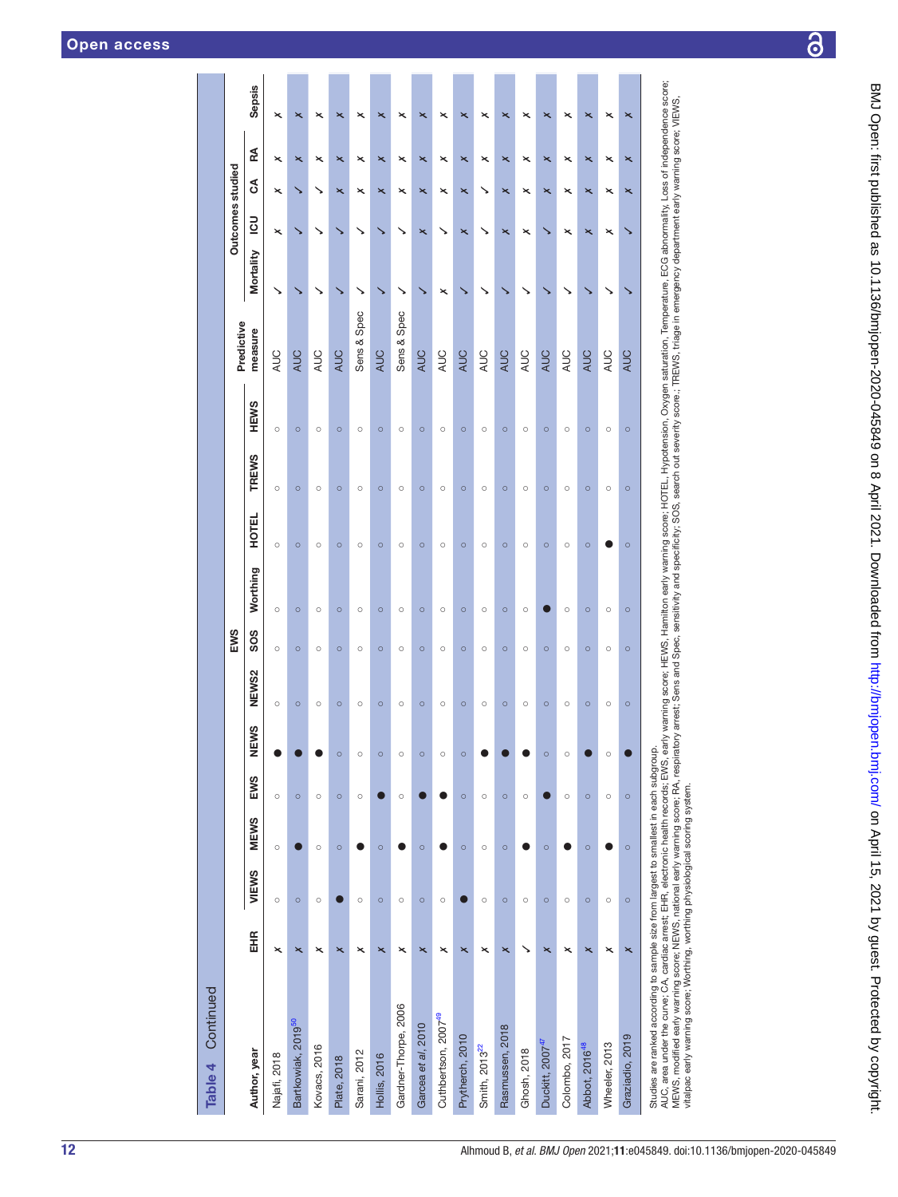| Continued<br>Table 4                                                                                                                                                                                                                                                                                                                                                                                                                                                                                                                                                                                                                         |                         |         |             |         |         |                   |         |          |              |              |             |             |           |                         |                                                    |                |
|----------------------------------------------------------------------------------------------------------------------------------------------------------------------------------------------------------------------------------------------------------------------------------------------------------------------------------------------------------------------------------------------------------------------------------------------------------------------------------------------------------------------------------------------------------------------------------------------------------------------------------------------|-------------------------|---------|-------------|---------|---------|-------------------|---------|----------|--------------|--------------|-------------|-------------|-----------|-------------------------|----------------------------------------------------|----------------|
|                                                                                                                                                                                                                                                                                                                                                                                                                                                                                                                                                                                                                                              |                         |         |             |         |         |                   | EWS     |          |              |              |             | Predictive  |           | <b>Outcomes studied</b> |                                                    |                |
| Author, year                                                                                                                                                                                                                                                                                                                                                                                                                                                                                                                                                                                                                                 | EHR                     | VIEWS   | <b>MEWS</b> | EWS     | NEWS    | NEW <sub>S2</sub> | SOS     | Worthing | <b>HOTEL</b> | <b>TREWS</b> | <b>HEWS</b> | measure     | Mortality | 50                      | RA<br>న్                                           | <b>Sepsis</b>  |
| Najafi, 2018                                                                                                                                                                                                                                                                                                                                                                                                                                                                                                                                                                                                                                 | ×                       | $\circ$ | $\circ$     | $\circ$ |         | $\circ$           | $\circ$ | $\circ$  | $\circ$      | $\circ$      | $\circ$     | AUC         |           | ×                       | ×<br>×                                             | ×              |
| Bartkowiak, 2019 <sup>50</sup>                                                                                                                                                                                                                                                                                                                                                                                                                                                                                                                                                                                                               | $\overline{\mathbf{x}}$ | $\circ$ |             | $\circ$ |         | $\circ$           | $\circ$ | $\circ$  | $\circ$      | $\circ$      | $\circ$     | <b>AUC</b>  |           |                         | $\overline{\mathbf{x}}$                            | ×              |
| Kovacs, 2016                                                                                                                                                                                                                                                                                                                                                                                                                                                                                                                                                                                                                                 | ×                       | $\circ$ | $\circ$     | $\circ$ |         | $\circ$           | $\circ$ | $\circ$  | $\circ$      | $\circ$      | $\circ$     | <b>AUC</b>  |           |                         | ×                                                  | ×              |
| Plate, 2018                                                                                                                                                                                                                                                                                                                                                                                                                                                                                                                                                                                                                                  | ×                       |         | $\circ$     | $\circ$ | $\circ$ | $\circ$           | $\circ$ | $\circ$  | $\circ$      | $\circ$      | $\circ$     | <b>AUC</b>  |           |                         | $\overline{\mathbf{x}}$<br>$\overline{\mathbf{x}}$ |                |
| Sarani, 2012                                                                                                                                                                                                                                                                                                                                                                                                                                                                                                                                                                                                                                 | ×                       | $\circ$ |             | $\circ$ | $\circ$ | $\circ$           | $\circ$ | $\circ$  | $\circ$      | $\circ$      | $\circ$     | Sens & Spec |           |                         | ×<br>×                                             | ×              |
| <b>Hollis, 2016</b>                                                                                                                                                                                                                                                                                                                                                                                                                                                                                                                                                                                                                          | $\overline{\mathbf{x}}$ | $\circ$ | $\circ$     |         | $\circ$ | $\circ$           | $\circ$ | $\circ$  | $\circ$      | $\circ$      | $\circ$     | <b>AUC</b>  |           |                         | $\overline{\mathbf{x}}$<br>$\overline{\mathbf{x}}$ | ×              |
| Gardner-Thorpe, 2006                                                                                                                                                                                                                                                                                                                                                                                                                                                                                                                                                                                                                         | ×                       | $\circ$ |             | $\circ$ | $\circ$ | $\circ$           | $\circ$ | $\circ$  | $\circ$      | $\circ$      | $\circ$     | Sens & Spec | ↘         | ↘                       | ×<br>×                                             | ×              |
| Garcea et al, 2010                                                                                                                                                                                                                                                                                                                                                                                                                                                                                                                                                                                                                           | $\overline{\mathbf{x}}$ | $\circ$ | $\circ$     |         | $\circ$ | $\circ$           | $\circ$ | $\circ$  | $\circ$      | $\circ$      | $\circ$     | <b>AUC</b>  |           | $\overline{\mathbf{x}}$ | $\overline{\mathbf{x}}$<br>$\overline{\mathbf{x}}$ | $\pmb{\times}$ |
| Cuthbertson, 2007 <sup>49</sup>                                                                                                                                                                                                                                                                                                                                                                                                                                                                                                                                                                                                              | $\times$                | $\circ$ |             |         | $\circ$ | $\circ$           | $\circ$ | $\circ$  | $\circ$      | $\circ$      | $\circ$     | AUC         | ×         |                         | $\times$<br>$\times$                               | ×              |
| Prytherch, 2010                                                                                                                                                                                                                                                                                                                                                                                                                                                                                                                                                                                                                              | ×                       |         | $\circ$     | $\circ$ | $\circ$ | $\circ$           | $\circ$ | $\circ$  | $\circ$      | $\circ$      | $\circ$     | <b>AUC</b>  |           | $\overline{\mathsf{x}}$ | $\overline{\mathbf{x}}$<br>$\overline{\mathbf{x}}$ | $\pmb{\times}$ |
| Smith, 2013 <sup>22</sup>                                                                                                                                                                                                                                                                                                                                                                                                                                                                                                                                                                                                                    | ×                       | $\circ$ | $\circ$     | $\circ$ |         | $\circ$           | $\circ$ | $\circ$  | О            | $\circ$      | О           | <b>AUC</b>  |           |                         | ×                                                  |                |
| Rasmussen, 2018                                                                                                                                                                                                                                                                                                                                                                                                                                                                                                                                                                                                                              | $\overline{\mathbf{x}}$ | $\circ$ | $\circ$     | $\circ$ |         | $\circ$           | $\circ$ | $\circ$  | $\circ$      | $\circ$      | $\circ$     | <b>AUC</b>  |           | $\overline{\mathbf{x}}$ | $\overline{\mathbf{x}}$<br>$\overline{\mathbf{x}}$ | ×              |
| Ghosh, 2018                                                                                                                                                                                                                                                                                                                                                                                                                                                                                                                                                                                                                                  |                         | $\circ$ |             | $\circ$ |         | $\circ$           | $\circ$ | $\circ$  | $\circ$      | $\circ$      | О           | AUC         |           | ×                       | ×<br>×                                             | ×              |
| Duckitt, 2007 <sup>47</sup>                                                                                                                                                                                                                                                                                                                                                                                                                                                                                                                                                                                                                  | $\overline{\mathbf{x}}$ | $\circ$ | $\circ$     |         | $\circ$ | $\circ$           | $\circ$ |          | $\circ$      | $\circ$      | $\circ$     | <b>AUC</b>  |           |                         | $\overline{\mathbf{x}}$<br>$\overline{\mathbf{x}}$ | ×              |
| Colombo, 2017                                                                                                                                                                                                                                                                                                                                                                                                                                                                                                                                                                                                                                | ×                       | $\circ$ |             | $\circ$ | $\circ$ | $\circ$           | $\circ$ | $\circ$  | $\circ$      | $\circ$      | $\circ$     | AUC         |           | ×                       | ×<br>×                                             | ×              |
| Abbot, 2016 <sup>48</sup>                                                                                                                                                                                                                                                                                                                                                                                                                                                                                                                                                                                                                    | $\overline{\mathbf{x}}$ | $\circ$ | $\circ$     | $\circ$ |         | $\circ$           | $\circ$ | $\circ$  | $\circ$      | $\circ$      | $\circ$     | <b>AUC</b>  |           | $\overline{\mathbf{x}}$ | $\overline{\mathbf{x}}$<br>$\overline{\mathbf{x}}$ | ×              |
| Wheeler, 2013                                                                                                                                                                                                                                                                                                                                                                                                                                                                                                                                                                                                                                | ×                       | $\circ$ |             | $\circ$ | $\circ$ | $\circ$           | $\circ$ | $\circ$  |              | $\circ$      | О           | <b>AUC</b>  |           | ×                       | ×<br>×                                             | ×              |
| Graziadio, 2019                                                                                                                                                                                                                                                                                                                                                                                                                                                                                                                                                                                                                              | $\overline{\mathbf{x}}$ | $\circ$ | $\circ$     | $\circ$ |         | $\circ$           | $\circ$ | $\circ$  | $\circ$      | $\circ$      | $\circ$     | <b>AUC</b>  |           |                         | $\overline{\mathbf{x}}$<br>$\overline{\mathbf{x}}$ | ×              |
| AUC, area under the curve; CA, cardiac arrest; EHR, electronic health records; EWS, early warning score; Hamilton early warning score; HOTEL, Hypotension, Oxygen saturation, Temperature, ECG abnormality, Loss of independen<br>MEWS, modified early warning score; NEWS, national early warning score; RA, respiratory arrest; Sens and Spec, sensitivity and specificity; SOS, search out severity score; TREWS, triage in emergency department early warnin<br>Studies are ranked according to sample size from largest to smallest in each subgroup.<br>vitalpac early warning score; Worthing, worthing physiological scoring system. |                         |         |             |         |         |                   |         |          |              |              |             |             |           |                         |                                                    |                |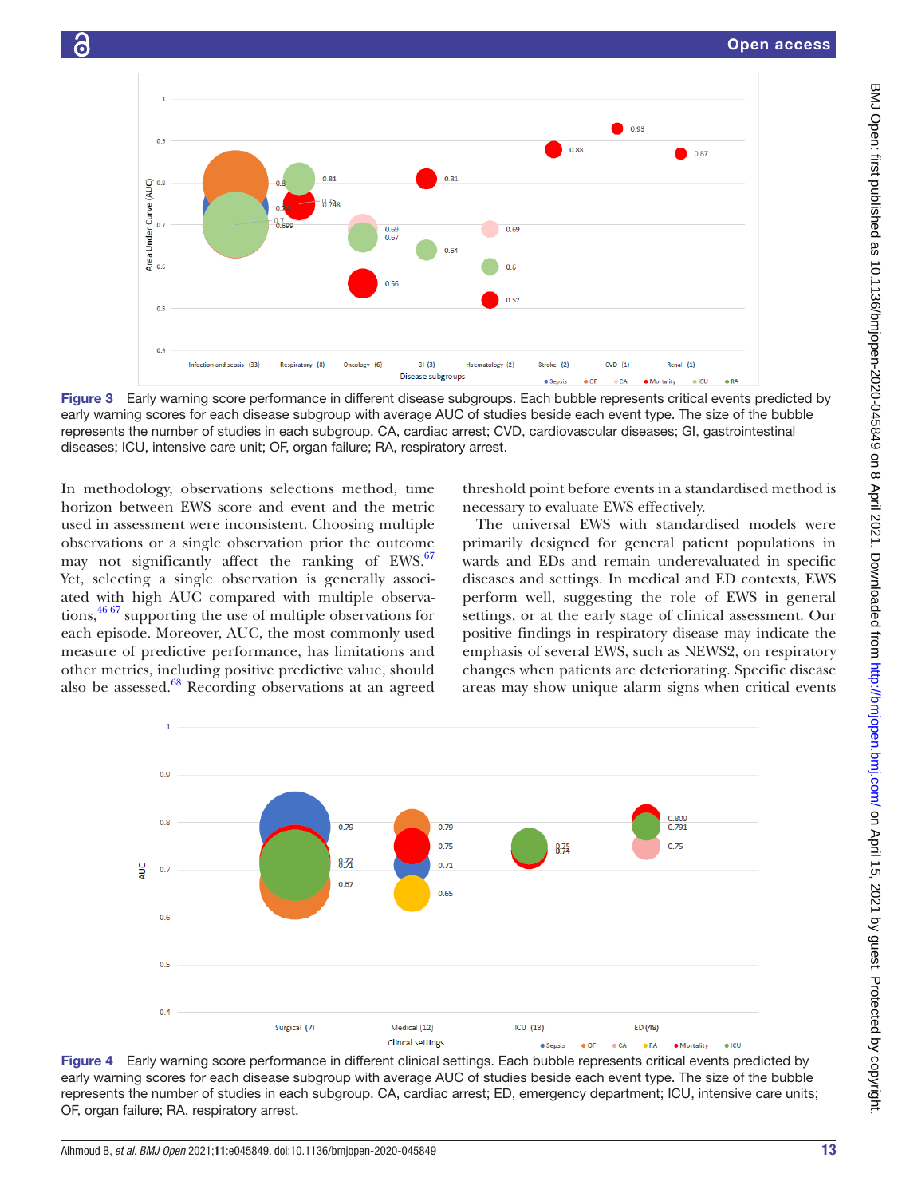

<span id="page-12-0"></span>Figure 3 Early warning score performance in different disease subgroups. Each bubble represents critical events predicted by early warning scores for each disease subgroup with average AUC of studies beside each event type. The size of the bubble represents the number of studies in each subgroup. CA, cardiac arrest; CVD, cardiovascular diseases; GI, gastrointestinal diseases; ICU, intensive care unit; OF, organ failure; RA, respiratory arrest.

In methodology, observations selections method, time horizon between EWS score and event and the metric used in assessment were inconsistent. Choosing multiple observations or a single observation prior the outcome may not significantly affect the ranking of EWS.<sup>[67](#page-15-36)</sup> Yet, selecting a single observation is generally associated with high AUC compared with multiple observations,<sup>46 67</sup> supporting the use of multiple observations for each episode. Moreover, AUC, the most commonly used measure of predictive performance, has limitations and other metrics, including positive predictive value, should also be assessed.<sup>[68](#page-15-37)</sup> Recording observations at an agreed

threshold point before events in a standardised method is necessary to evaluate EWS effectively.

The universal EWS with standardised models were primarily designed for general patient populations in wards and EDs and remain underevaluated in specific diseases and settings. In medical and ED contexts, EWS perform well, suggesting the role of EWS in general settings, or at the early stage of clinical assessment. Our positive findings in respiratory disease may indicate the emphasis of several EWS, such as NEWS2, on respiratory changes when patients are deteriorating. Specific disease areas may show unique alarm signs when critical events



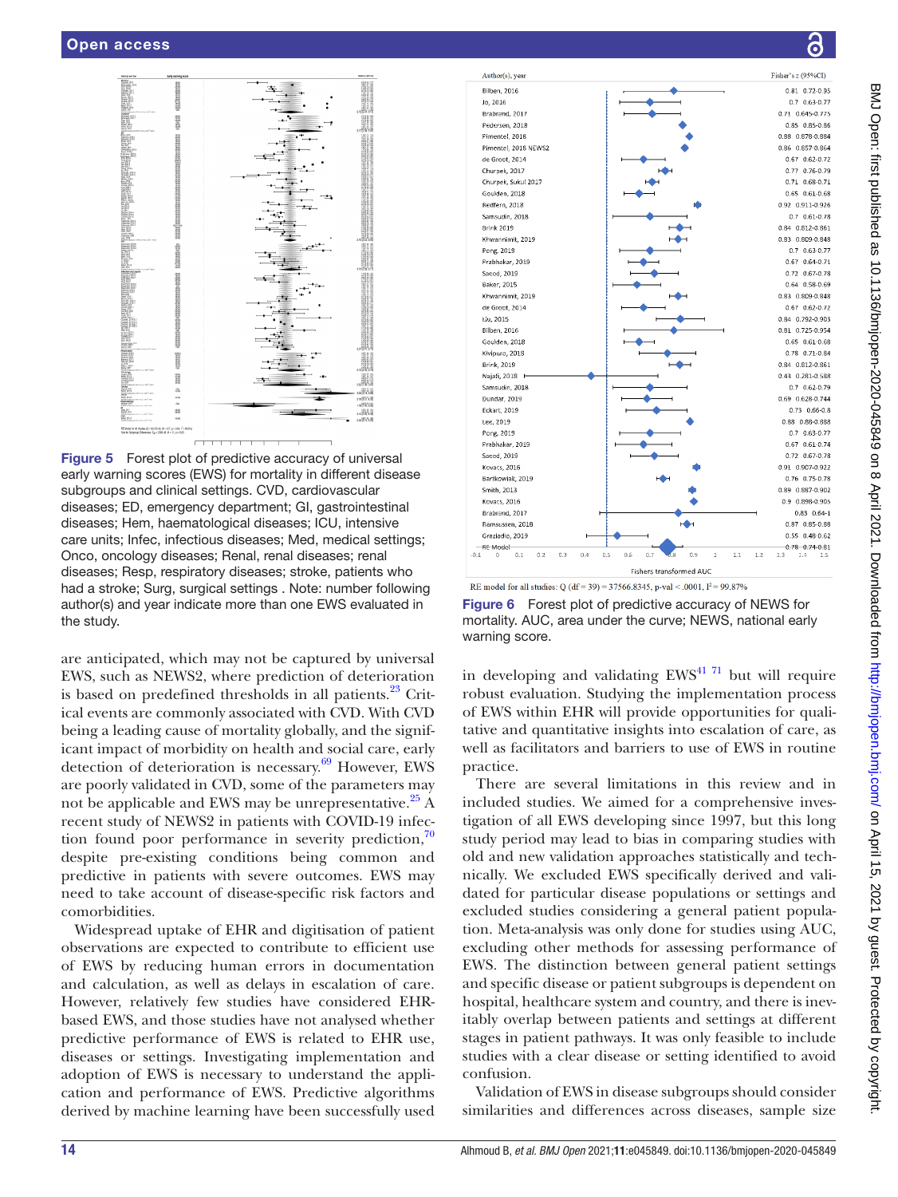

<span id="page-13-0"></span>Figure 5 Forest plot of predictive accuracy of universal early warning scores (EWS) for mortality in different disease subgroups and clinical settings. CVD, cardiovascular diseases; ED, emergency department; GI, gastrointestinal diseases; Hem, haematological diseases; ICU, intensive care units; Infec, infectious diseases; Med, medical settings; Onco, oncology diseases; Renal, renal diseases; renal diseases; Resp, respiratory diseases; stroke, patients who had a stroke; Surg, surgical settings . Note: number following author(s) and year indicate more than one EWS evaluated in the study.

are anticipated, which may not be captured by universal EWS, such as NEWS2, where prediction of deterioration is based on predefined thresholds in all patients.<sup>23</sup> Critical events are commonly associated with CVD. With CVD being a leading cause of mortality globally, and the significant impact of morbidity on health and social care, early detection of deterioration is necessary. $69$  However, EWS are poorly validated in CVD, some of the parameters may not be applicable and EWS may be unrepresentative. $25$  A recent study of NEWS2 in patients with COVID-19 infection found poor performance in severity prediction, $70$ despite pre-existing conditions being common and predictive in patients with severe outcomes. EWS may need to take account of disease-specific risk factors and comorbidities.

Widespread uptake of EHR and digitisation of patient observations are expected to contribute to efficient use of EWS by reducing human errors in documentation and calculation, as well as delays in escalation of care. However, relatively few studies have considered EHRbased EWS, and those studies have not analysed whether predictive performance of EWS is related to EHR use, diseases or settings. Investigating implementation and adoption of EWS is necessary to understand the application and performance of EWS. Predictive algorithms derived by machine learning have been successfully used



<span id="page-13-1"></span>RE model for all studies: Q (df = 39) = 37566.8345, p-val < .0001,  $I^2$  = 99.87%

Figure 6 Forest plot of predictive accuracy of NEWS for mortality. AUC, area under the curve; NEWS, national early warning score.

in developing and validating  $EWS<sup>41</sup>$ <sup>71</sup> but will require robust evaluation. Studying the implementation process of EWS within EHR will provide opportunities for qualitative and quantitative insights into escalation of care, as well as facilitators and barriers to use of EWS in routine practice.

There are several limitations in this review and in included studies. We aimed for a comprehensive investigation of all EWS developing since 1997, but this long study period may lead to bias in comparing studies with old and new validation approaches statistically and technically. We excluded EWS specifically derived and validated for particular disease populations or settings and excluded studies considering a general patient population. Meta-analysis was only done for studies using AUC, excluding other methods for assessing performance of EWS. The distinction between general patient settings and specific disease or patient subgroups is dependent on hospital, healthcare system and country, and there is inevitably overlap between patients and settings at different stages in patient pathways. It was only feasible to include studies with a clear disease or setting identified to avoid confusion.

Validation of EWS in disease subgroups should consider similarities and differences across diseases, sample size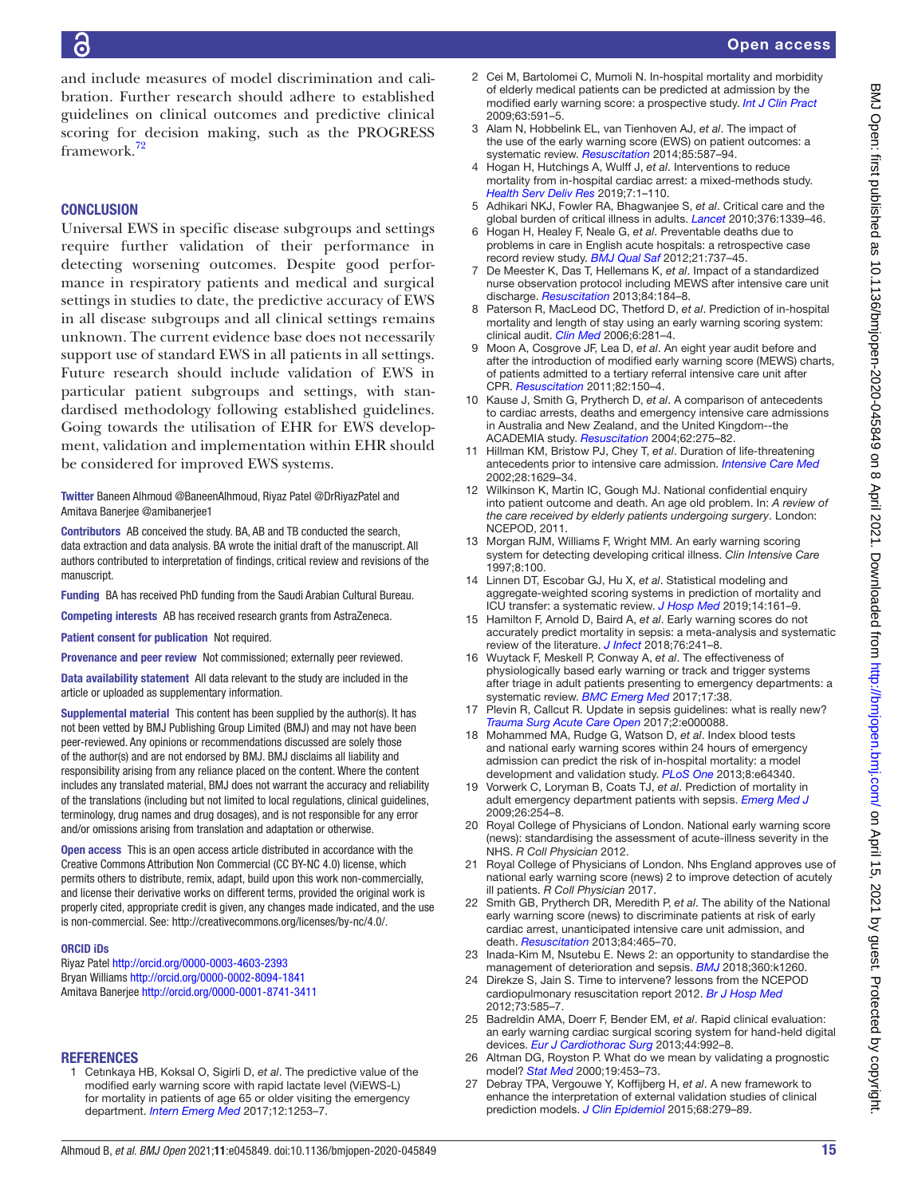and include measures of model discrimination and calibration. Further research should adhere to established guidelines on clinical outcomes and predictive clinical scoring for decision making, such as the PROGRESS framework.[72](#page-15-40)

# **CONCLUSION**

Universal EWS in specific disease subgroups and settings require further validation of their performance in detecting worsening outcomes. Despite good performance in respiratory patients and medical and surgical settings in studies to date, the predictive accuracy of EWS in all disease subgroups and all clinical settings remains unknown. The current evidence base does not necessarily support use of standard EWS in all patients in all settings. Future research should include validation of EWS in particular patient subgroups and settings, with standardised methodology following established guidelines. Going towards the utilisation of EHR for EWS development, validation and implementation within EHR should be considered for improved EWS systems.

Twitter Baneen Alhmoud [@BaneenAlhmoud,](https://twitter.com/BaneenAlhmoud) Riyaz Patel [@DrRiyazPatel](https://twitter.com/DrRiyazPatel) and Amitava Banerjee [@amibanerjee1](https://twitter.com/amibanerjee1)

Contributors AB conceived the study. BA, AB and TB conducted the search, data extraction and data analysis. BA wrote the initial draft of the manuscript. All authors contributed to interpretation of findings, critical review and revisions of the manuscript.

Funding BA has received PhD funding from the Saudi Arabian Cultural Bureau.

Competing interests AB has received research grants from AstraZeneca.

Patient consent for publication Not required.

Provenance and peer review Not commissioned; externally peer reviewed.

Data availability statement All data relevant to the study are included in the article or uploaded as supplementary information.

Supplemental material This content has been supplied by the author(s). It has not been vetted by BMJ Publishing Group Limited (BMJ) and may not have been peer-reviewed. Any opinions or recommendations discussed are solely those of the author(s) and are not endorsed by BMJ. BMJ disclaims all liability and responsibility arising from any reliance placed on the content. Where the content includes any translated material, BMJ does not warrant the accuracy and reliability of the translations (including but not limited to local regulations, clinical guidelines, terminology, drug names and drug dosages), and is not responsible for any error and/or omissions arising from translation and adaptation or otherwise.

Open access This is an open access article distributed in accordance with the Creative Commons Attribution Non Commercial (CC BY-NC 4.0) license, which permits others to distribute, remix, adapt, build upon this work non-commercially, and license their derivative works on different terms, provided the original work is properly cited, appropriate credit is given, any changes made indicated, and the use is non-commercial. See: [http://creativecommons.org/licenses/by-nc/4.0/.](http://creativecommons.org/licenses/by-nc/4.0/)

#### ORCID iDs

Riyaz Patel <http://orcid.org/0000-0003-4603-2393> Bryan Williams<http://orcid.org/0000-0002-8094-1841> Amitava Banerjee<http://orcid.org/0000-0001-8741-3411>

## REFERENCES

<span id="page-14-0"></span>1 Cetınkaya HB, Koksal O, Sigirli D, *et al*. The predictive value of the modified early warning score with rapid lactate level (ViEWS-L) for mortality in patients of age 65 or older visiting the emergency department. *[Intern Emerg Med](http://dx.doi.org/10.1007/s11739-016-1559-7)* 2017;12:1253–7.

- <span id="page-14-4"></span>2 Cei M, Bartolomei C, Mumoli N. In-hospital mortality and morbidity of elderly medical patients can be predicted at admission by the modified early warning score: a prospective study. *[Int J Clin Pract](http://dx.doi.org/10.1111/j.1742-1241.2008.01986.x)* 2009;63:591–5.
- <span id="page-14-1"></span>3 Alam N, Hobbelink EL, van Tienhoven AJ, *et al*. The impact of the use of the early warning score (EWS) on patient outcomes: a systematic review. *[Resuscitation](http://dx.doi.org/10.1016/j.resuscitation.2014.01.013)* 2014;85:587–94.
- <span id="page-14-2"></span>4 Hogan H, Hutchings A, Wulff J, *et al*. Interventions to reduce mortality from in-hospital cardiac arrest: a mixed-methods study. *[Health Serv Deliv Res](http://dx.doi.org/10.3310/hsdr07020)* 2019;7:1–110.
- <span id="page-14-3"></span>5 Adhikari NKJ, Fowler RA, Bhagwanjee S, *et al*. Critical care and the global burden of critical illness in adults. *[Lancet](http://dx.doi.org/10.1016/S0140-6736(10)60446-1)* 2010;376:1339–46.
- 6 Hogan H, Healey F, Neale G, *et al*. Preventable deaths due to problems in care in English acute hospitals: a retrospective case record review study. *[BMJ Qual Saf](http://dx.doi.org/10.1136/bmjqs-2011-001159)* 2012;21:737–45.
- 7 De Meester K, Das T, Hellemans K, *et al*. Impact of a standardized nurse observation protocol including MEWS after intensive care unit discharge. *[Resuscitation](http://dx.doi.org/10.1016/j.resuscitation.2012.06.017)* 2013;84:184–8.
- <span id="page-14-18"></span>8 Paterson R, MacLeod DC, Thetford D, *et al*. Prediction of in-hospital mortality and length of stay using an early warning scoring system: clinical audit. *[Clin Med](http://dx.doi.org/10.7861/clinmedicine.6-3-281)* 2006;6:281–4.
- 9 Moon A, Cosgrove JF, Lea D, *et al*. An eight year audit before and after the introduction of modified early warning score (MEWS) charts, of patients admitted to a tertiary referral intensive care unit after CPR. *[Resuscitation](http://dx.doi.org/10.1016/j.resuscitation.2010.09.480)* 2011;82:150–4.
- 10 Kause J, Smith G, Prytherch D, *et al*. A comparison of antecedents to cardiac arrests, deaths and emergency intensive care admissions in Australia and New Zealand, and the United Kingdom--the ACADEMIA study. *[Resuscitation](http://dx.doi.org/10.1016/j.resuscitation.2004.05.016)* 2004;62:275–82.
- 11 Hillman KM, Bristow PJ, Chey T, *et al*. Duration of life-threatening antecedents prior to intensive care admission. *[Intensive Care Med](http://dx.doi.org/10.1007/s00134-002-1496-y)* 2002;28:1629–34.
- 12 Wilkinson K, Martin IC, Gough MJ. National confidential enquiry into patient outcome and death. An age old problem. In: *A review of the care received by elderly patients undergoing surgery*. London: NCEPOD, 2011.
- <span id="page-14-5"></span>13 Morgan RJM, Williams F, Wright MM. An early warning scoring system for detecting developing critical illness. *Clin Intensive Care* 1997;8:100.
- <span id="page-14-6"></span>14 Linnen DT, Escobar GJ, Hu X, *et al*. Statistical modeling and aggregate-weighted scoring systems in prediction of mortality and ICU transfer: a systematic review. *[J Hosp Med](http://dx.doi.org/10.12788/jhm.3151)* 2019;14:161–9.
- <span id="page-14-7"></span>15 Hamilton F, Arnold D, Baird A, *et al*. Early warning scores do not accurately predict mortality in sepsis: a meta-analysis and systematic review of the literature. *[J Infect](http://dx.doi.org/10.1016/j.jinf.2018.01.002)* 2018;76:241–8.
- <span id="page-14-8"></span>16 Wuytack F, Meskell P, Conway A, *et al*. The effectiveness of physiologically based early warning or track and trigger systems after triage in adult patients presenting to emergency departments: a systematic review. *[BMC Emerg Med](http://dx.doi.org/10.1186/s12873-017-0148-z)* 2017;17:38.
- <span id="page-14-9"></span>17 Plevin R, Callcut R. Update in sepsis guidelines: what is really new? *[Trauma Surg Acute Care Open](http://dx.doi.org/10.1136/tsaco-2017-000088)* 2017;2:e000088.
- 18 Mohammed MA, Rudge G, Watson D, *et al*. Index blood tests and national early warning scores within 24 hours of emergency admission can predict the risk of in-hospital mortality: a model development and validation study. *[PLoS One](http://dx.doi.org/10.1371/journal.pone.0064340)* 2013;8:e64340.
- <span id="page-14-19"></span>19 Vorwerk C, Loryman B, Coats TJ, *et al*. Prediction of mortality in adult emergency department patients with sepsis. *[Emerg Med J](http://dx.doi.org/10.1136/emj.2007.053298)* 2009;26:254–8.
- <span id="page-14-10"></span>20 Royal College of Physicians of London. National early warning score (news): standardising the assessment of acute-illness severity in the NHS. *R Coll Physician* 2012.
- <span id="page-14-11"></span>21 Royal College of Physicians of London. Nhs England approves use of national early warning score (news) 2 to improve detection of acutely ill patients. *R Coll Physician* 2017.
- <span id="page-14-12"></span>22 Smith GB, Prytherch DR, Meredith P, *et al*. The ability of the National early warning score (news) to discriminate patients at risk of early cardiac arrest, unanticipated intensive care unit admission, and death. *[Resuscitation](http://dx.doi.org/10.1016/j.resuscitation.2012.12.016)* 2013;84:465–70.
- <span id="page-14-13"></span>23 Inada-Kim M, Nsutebu E. News 2: an opportunity to standardise the management of deterioration and sepsis. *[BMJ](http://dx.doi.org/10.1136/bmj.k1260)* 2018;360:k1260.
- <span id="page-14-14"></span>24 Direkze S, Jain S. Time to intervene? lessons from the NCEPOD cardiopulmonary resuscitation report 2012. *[Br J Hosp Med](http://dx.doi.org/10.12968/hmed.2012.73.10.585)* 2012;73:585–7.
- <span id="page-14-15"></span>25 Badreldin AMA, Doerr F, Bender EM, *et al*. Rapid clinical evaluation: an early warning cardiac surgical scoring system for hand-held digital devices. *[Eur J Cardiothorac Surg](http://dx.doi.org/10.1093/ejcts/ezt232)* 2013;44:992–8.
- <span id="page-14-16"></span>26 Altman DG, Royston P. What do we mean by validating a prognostic model? *[Stat Med](http://dx.doi.org/10.1002/(SICI)1097-0258(20000229)19:4<453::AID-SIM350>3.0.CO;2-5)* 2000;19:453–73.
- <span id="page-14-17"></span>27 Debray TPA, Vergouwe Y, Koffijberg H, *et al*. A new framework to enhance the interpretation of external validation studies of clinical prediction models. *[J Clin Epidemiol](http://dx.doi.org/10.1016/j.jclinepi.2014.06.018)* 2015;68:279–89.